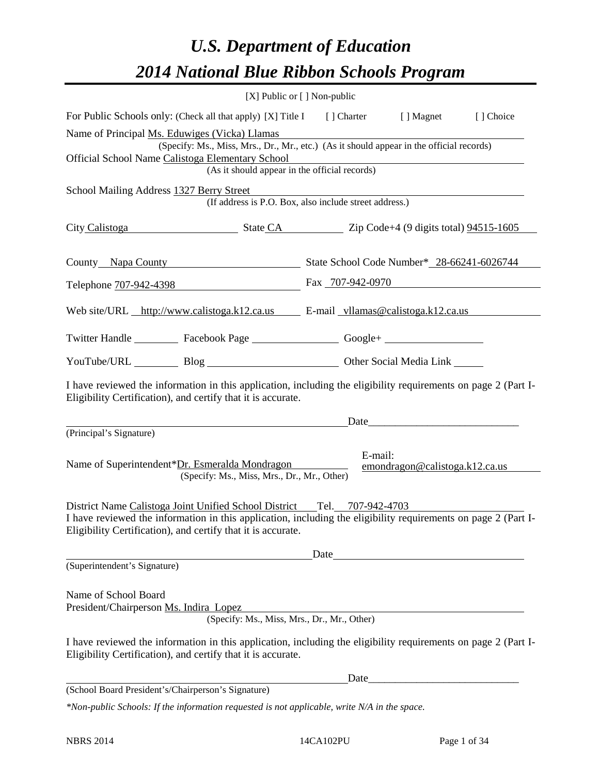## *U.S. Department of Education 2014 National Blue Ribbon Schools Program*

|                                                                                                                                                                                                                                                                     | [X] Public or [] Non-public                                                                                                                                                    |      |                                                                                                                                                                                                                                |  |  |  |  |  |
|---------------------------------------------------------------------------------------------------------------------------------------------------------------------------------------------------------------------------------------------------------------------|--------------------------------------------------------------------------------------------------------------------------------------------------------------------------------|------|--------------------------------------------------------------------------------------------------------------------------------------------------------------------------------------------------------------------------------|--|--|--|--|--|
| For Public Schools only: (Check all that apply) [X] Title I [] Charter [] Magnet<br>[ ] Choice                                                                                                                                                                      |                                                                                                                                                                                |      |                                                                                                                                                                                                                                |  |  |  |  |  |
| Name of Principal Ms. Eduwiges (Vicka) Llamas<br>(Specify: Ms., Miss, Mrs., Dr., Mr., etc.) (As it should appear in the official records)<br>Official School Name Calistoga Elementary School<br>Elementary School<br>(As it should appear in the official records) |                                                                                                                                                                                |      |                                                                                                                                                                                                                                |  |  |  |  |  |
| School Mailing Address 1327 Berry Street                                                                                                                                                                                                                            | (If address is P.O. Box, also include street address.)                                                                                                                         |      |                                                                                                                                                                                                                                |  |  |  |  |  |
| City Calistoga State CA Zip Code+4 (9 digits total) 94515-1605                                                                                                                                                                                                      |                                                                                                                                                                                |      |                                                                                                                                                                                                                                |  |  |  |  |  |
|                                                                                                                                                                                                                                                                     | County Napa County State School Code Number* 28-66241-6026744                                                                                                                  |      |                                                                                                                                                                                                                                |  |  |  |  |  |
|                                                                                                                                                                                                                                                                     | Telephone 707-942-4398 Fax 707-942-0970                                                                                                                                        |      |                                                                                                                                                                                                                                |  |  |  |  |  |
|                                                                                                                                                                                                                                                                     | Web site/URL http://www.calistoga.k12.ca.us E-mail vllamas@calistoga.k12.ca.us                                                                                                 |      |                                                                                                                                                                                                                                |  |  |  |  |  |
|                                                                                                                                                                                                                                                                     | Twitter Handle ___________ Facebook Page ___________________ Google+ ____________                                                                                              |      |                                                                                                                                                                                                                                |  |  |  |  |  |
|                                                                                                                                                                                                                                                                     | YouTube/URL Blog Blog Discount Other Social Media Link                                                                                                                         |      |                                                                                                                                                                                                                                |  |  |  |  |  |
|                                                                                                                                                                                                                                                                     | I have reviewed the information in this application, including the eligibility requirements on page 2 (Part I-<br>Eligibility Certification), and certify that it is accurate. |      | Date and the contract of the contract of the contract of the contract of the contract of the contract of the contract of the contract of the contract of the contract of the contract of the contract of the contract of the c |  |  |  |  |  |
| (Principal's Signature)                                                                                                                                                                                                                                             |                                                                                                                                                                                |      |                                                                                                                                                                                                                                |  |  |  |  |  |
|                                                                                                                                                                                                                                                                     | Name of Superintendent*Dr. Esmeralda Mondragon<br>(Specify: Ms., Miss, Mrs., Dr., Mr., Other)                                                                                  |      | E-mail:<br>emondragon@calistoga.k12.ca.us                                                                                                                                                                                      |  |  |  |  |  |
| District Name Calistoga Joint Unified School District Tel. 707-942-4703<br>I have reviewed the information in this application, including the eligibility requirements on page 2 (Part I-<br>Eligibility Certification), and certify that it is accurate.           |                                                                                                                                                                                |      |                                                                                                                                                                                                                                |  |  |  |  |  |
|                                                                                                                                                                                                                                                                     |                                                                                                                                                                                | Date |                                                                                                                                                                                                                                |  |  |  |  |  |
| (Superintendent's Signature)                                                                                                                                                                                                                                        |                                                                                                                                                                                |      |                                                                                                                                                                                                                                |  |  |  |  |  |
| Name of School Board<br>President/Chairperson Ms. Indira Lopez                                                                                                                                                                                                      | (Specify: Ms., Miss, Mrs., Dr., Mr., Other)                                                                                                                                    |      |                                                                                                                                                                                                                                |  |  |  |  |  |
|                                                                                                                                                                                                                                                                     | I have reviewed the information in this application, including the eligibility requirements on page 2 (Part I-<br>Eligibility Certification), and certify that it is accurate. |      |                                                                                                                                                                                                                                |  |  |  |  |  |
|                                                                                                                                                                                                                                                                     |                                                                                                                                                                                |      |                                                                                                                                                                                                                                |  |  |  |  |  |
| (School Board President's/Chairperson's Signature)                                                                                                                                                                                                                  |                                                                                                                                                                                |      |                                                                                                                                                                                                                                |  |  |  |  |  |
|                                                                                                                                                                                                                                                                     | *Non-public Schools: If the information requested is not applicable, write N/A in the space.                                                                                   |      |                                                                                                                                                                                                                                |  |  |  |  |  |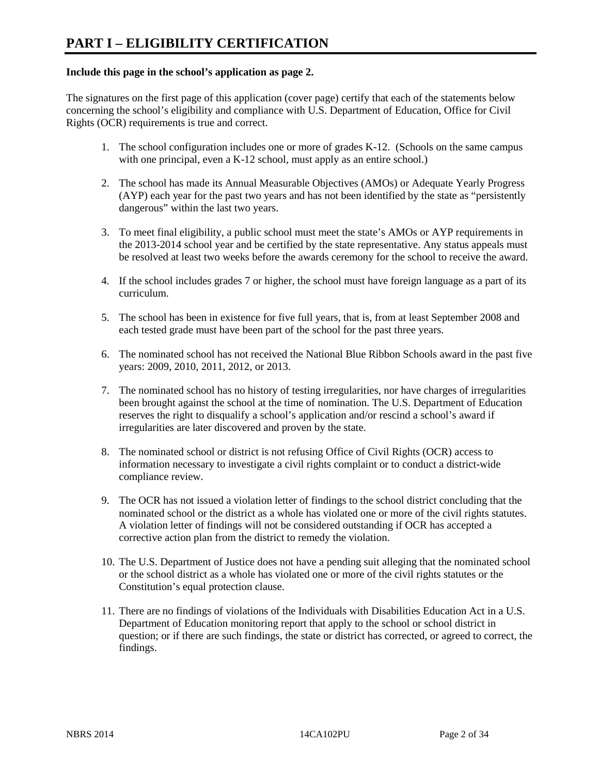#### **Include this page in the school's application as page 2.**

The signatures on the first page of this application (cover page) certify that each of the statements below concerning the school's eligibility and compliance with U.S. Department of Education, Office for Civil Rights (OCR) requirements is true and correct.

- 1. The school configuration includes one or more of grades K-12. (Schools on the same campus with one principal, even a K-12 school, must apply as an entire school.)
- 2. The school has made its Annual Measurable Objectives (AMOs) or Adequate Yearly Progress (AYP) each year for the past two years and has not been identified by the state as "persistently dangerous" within the last two years.
- 3. To meet final eligibility, a public school must meet the state's AMOs or AYP requirements in the 2013-2014 school year and be certified by the state representative. Any status appeals must be resolved at least two weeks before the awards ceremony for the school to receive the award.
- 4. If the school includes grades 7 or higher, the school must have foreign language as a part of its curriculum.
- 5. The school has been in existence for five full years, that is, from at least September 2008 and each tested grade must have been part of the school for the past three years.
- 6. The nominated school has not received the National Blue Ribbon Schools award in the past five years: 2009, 2010, 2011, 2012, or 2013.
- 7. The nominated school has no history of testing irregularities, nor have charges of irregularities been brought against the school at the time of nomination. The U.S. Department of Education reserves the right to disqualify a school's application and/or rescind a school's award if irregularities are later discovered and proven by the state.
- 8. The nominated school or district is not refusing Office of Civil Rights (OCR) access to information necessary to investigate a civil rights complaint or to conduct a district-wide compliance review.
- 9. The OCR has not issued a violation letter of findings to the school district concluding that the nominated school or the district as a whole has violated one or more of the civil rights statutes. A violation letter of findings will not be considered outstanding if OCR has accepted a corrective action plan from the district to remedy the violation.
- 10. The U.S. Department of Justice does not have a pending suit alleging that the nominated school or the school district as a whole has violated one or more of the civil rights statutes or the Constitution's equal protection clause.
- 11. There are no findings of violations of the Individuals with Disabilities Education Act in a U.S. Department of Education monitoring report that apply to the school or school district in question; or if there are such findings, the state or district has corrected, or agreed to correct, the findings.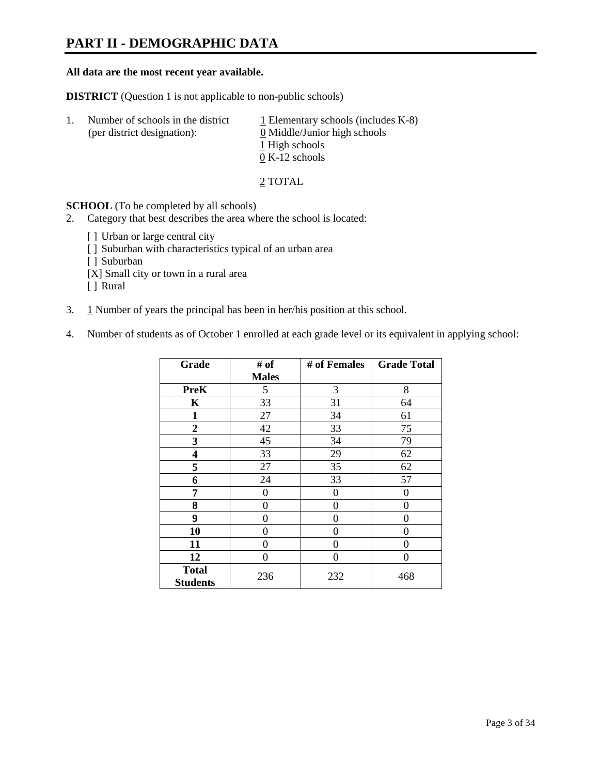### **PART II - DEMOGRAPHIC DATA**

#### **All data are the most recent year available.**

**DISTRICT** (Question 1 is not applicable to non-public schools)

| -1. | Number of schools in the district<br>(per district designation): | $\perp$ Elementary schools (includes K-8)<br>0 Middle/Junior high schools<br>1 High schools<br>$0 K-12$ schools |
|-----|------------------------------------------------------------------|-----------------------------------------------------------------------------------------------------------------|
|     |                                                                  |                                                                                                                 |

2 TOTAL

**SCHOOL** (To be completed by all schools)

- 2. Category that best describes the area where the school is located:
	- [] Urban or large central city
	- [ ] Suburban with characteristics typical of an urban area
	- [ ] Suburban
	- [X] Small city or town in a rural area
	- [ ] Rural
- 3. 1 Number of years the principal has been in her/his position at this school.
- 4. Number of students as of October 1 enrolled at each grade level or its equivalent in applying school:

| Grade                           | # of         | # of Females | <b>Grade Total</b> |
|---------------------------------|--------------|--------------|--------------------|
|                                 | <b>Males</b> |              |                    |
| <b>PreK</b>                     | 5            | 3            | 8                  |
| K                               | 33           | 31           | 64                 |
| 1                               | 27           | 34           | 61                 |
| $\boldsymbol{2}$                | 42           | 33           | 75                 |
| 3                               | 45           | 34           | 79                 |
| 4                               | 33           | 29           | 62                 |
| 5                               | 27           | 35           | 62                 |
| 6                               | 24           | 33           | 57                 |
| 7                               | 0            | 0            | 0                  |
| 8                               | 0            | 0            | 0                  |
| 9                               | 0            | $\theta$     | 0                  |
| 10                              | 0            | 0            | 0                  |
| 11                              | 0            | 0            | $\theta$           |
| 12                              | 0            | 0            | 0                  |
| <b>Total</b><br><b>Students</b> | 236          | 232          | 468                |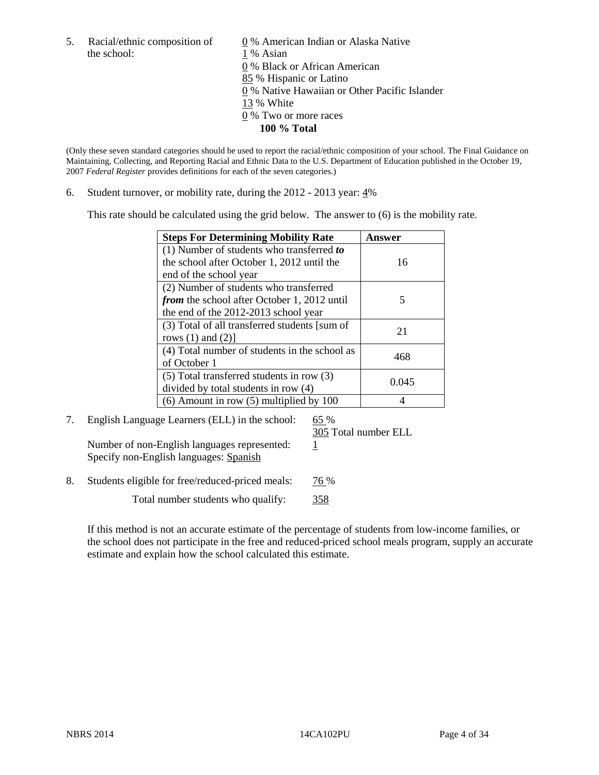the school: 1 % Asian

5. Racial/ethnic composition of  $\qquad \qquad \underline{0}$  % American Indian or Alaska Native 0 % Black or African American 85 % Hispanic or Latino 0 % Native Hawaiian or Other Pacific Islander 13 % White 0 % Two or more races **100 % Total** 

(Only these seven standard categories should be used to report the racial/ethnic composition of your school. The Final Guidance on Maintaining, Collecting, and Reporting Racial and Ethnic Data to the U.S. Department of Education published in the October 19, 2007 *Federal Register* provides definitions for each of the seven categories.)

6. Student turnover, or mobility rate, during the 2012 - 2013 year: 4%

This rate should be calculated using the grid below. The answer to (6) is the mobility rate.

| <b>Steps For Determining Mobility Rate</b>         | Answer |
|----------------------------------------------------|--------|
| (1) Number of students who transferred to          |        |
| the school after October 1, 2012 until the         | 16     |
| end of the school year                             |        |
| (2) Number of students who transferred             |        |
| <i>from</i> the school after October 1, 2012 until | 5      |
| the end of the 2012-2013 school year               |        |
| (3) Total of all transferred students [sum of      | 21     |
| rows $(1)$ and $(2)$ ]                             |        |
| (4) Total number of students in the school as      | 468    |
| of October 1                                       |        |
| $(5)$ Total transferred students in row $(3)$      | 0.045  |
| divided by total students in row (4)               |        |
| $(6)$ Amount in row $(5)$ multiplied by 100        |        |

7. English Language Learners (ELL) in the school: 65 % Number of non-English languages represented:  $1$ 

Specify non-English languages: Spanish

305 Total number ELL

8. Students eligible for free/reduced-priced meals: 76 %

Total number students who qualify: 358

If this method is not an accurate estimate of the percentage of students from low-income families, or the school does not participate in the free and reduced-priced school meals program, supply an accurate estimate and explain how the school calculated this estimate.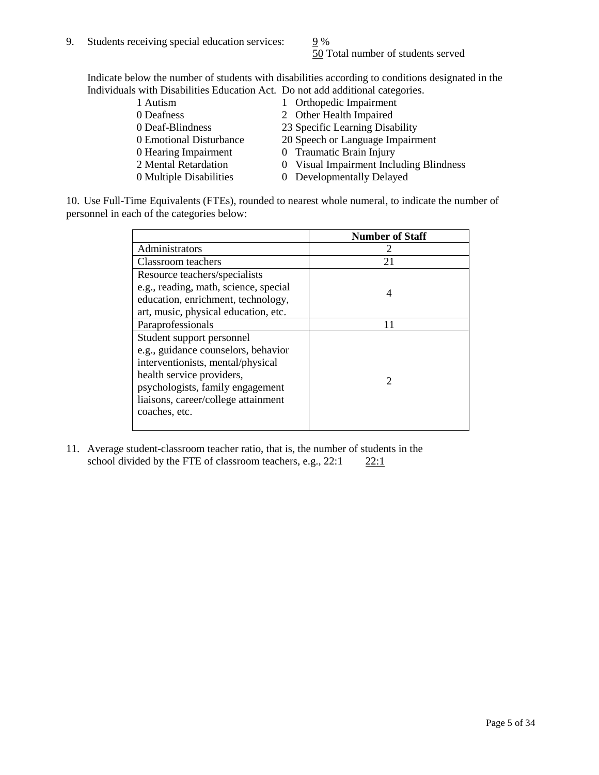50 Total number of students served

Indicate below the number of students with disabilities according to conditions designated in the Individuals with Disabilities Education Act. Do not add additional categories.

| 1 Autism                | 1 Orthopedic Impairment                 |
|-------------------------|-----------------------------------------|
| 0 Deafness              | 2 Other Health Impaired                 |
| 0 Deaf-Blindness        | 23 Specific Learning Disability         |
| 0 Emotional Disturbance | 20 Speech or Language Impairment        |
| 0 Hearing Impairment    | 0 Traumatic Brain Injury                |
| 2 Mental Retardation    | 0 Visual Impairment Including Blindness |
| 0 Multiple Disabilities | 0 Developmentally Delayed               |
|                         |                                         |

10. Use Full-Time Equivalents (FTEs), rounded to nearest whole numeral, to indicate the number of personnel in each of the categories below:

|                                       | <b>Number of Staff</b> |
|---------------------------------------|------------------------|
| Administrators                        |                        |
| Classroom teachers                    | 21                     |
| Resource teachers/specialists         |                        |
| e.g., reading, math, science, special | 4                      |
| education, enrichment, technology,    |                        |
| art, music, physical education, etc.  |                        |
| Paraprofessionals                     |                        |
| Student support personnel             |                        |
| e.g., guidance counselors, behavior   |                        |
| interventionists, mental/physical     |                        |
| health service providers,             |                        |
| psychologists, family engagement      |                        |
| liaisons, career/college attainment   |                        |
| coaches, etc.                         |                        |
|                                       |                        |

11. Average student-classroom teacher ratio, that is, the number of students in the school divided by the FTE of classroom teachers, e.g.,  $22:1$   $22:1$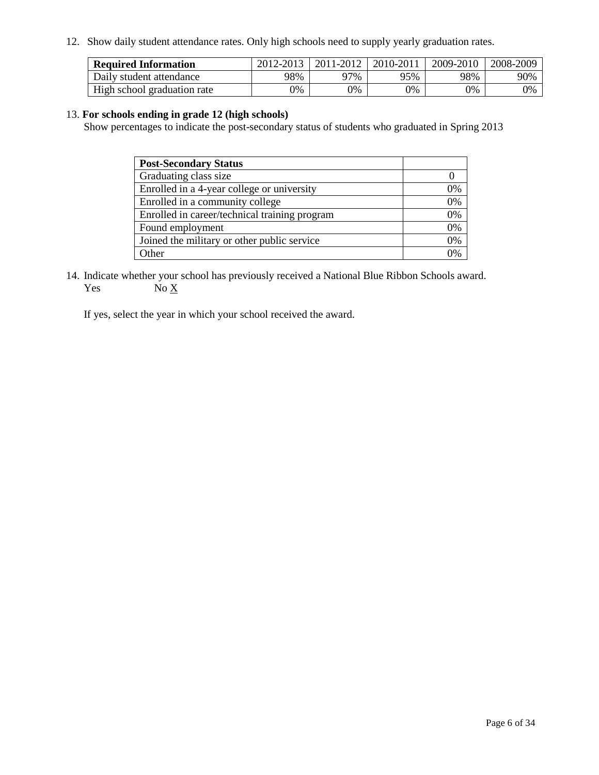12. Show daily student attendance rates. Only high schools need to supply yearly graduation rates.

| <b>Required Information</b> | 2012-2013 | 2011-2012 | 2010-2011 | 2009-2010 | 2008-2009 |
|-----------------------------|-----------|-----------|-----------|-----------|-----------|
| Daily student attendance    | 98%       | 97%       | 95%       | 98%       | 90%       |
| High school graduation rate | 0%        | 9%        | 0%        | 0%        | 0%        |

#### 13. **For schools ending in grade 12 (high schools)**

Show percentages to indicate the post-secondary status of students who graduated in Spring 2013

| <b>Post-Secondary Status</b>                  |    |
|-----------------------------------------------|----|
| Graduating class size                         |    |
| Enrolled in a 4-year college or university    | 0% |
| Enrolled in a community college               | 0% |
| Enrolled in career/technical training program | 0% |
| Found employment                              | 0% |
| Joined the military or other public service   | 0% |
| <b>Other</b>                                  | 0% |

14. Indicate whether your school has previously received a National Blue Ribbon Schools award. Yes  $No \underline{X}$ 

If yes, select the year in which your school received the award.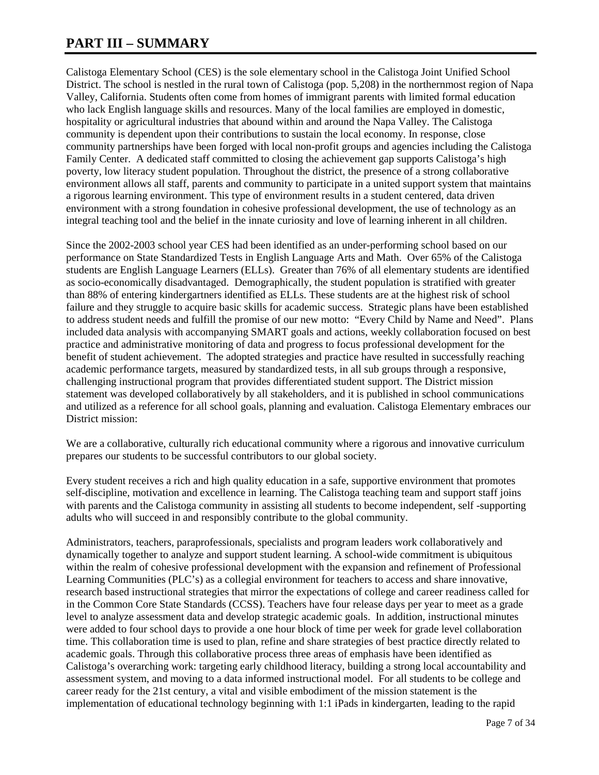### **PART III – SUMMARY**

Calistoga Elementary School (CES) is the sole elementary school in the Calistoga Joint Unified School District. The school is nestled in the rural town of Calistoga (pop. 5,208) in the northernmost region of Napa Valley, California. Students often come from homes of immigrant parents with limited formal education who lack English language skills and resources. Many of the local families are employed in domestic, hospitality or agricultural industries that abound within and around the Napa Valley. The Calistoga community is dependent upon their contributions to sustain the local economy. In response, close community partnerships have been forged with local non-profit groups and agencies including the Calistoga Family Center. A dedicated staff committed to closing the achievement gap supports Calistoga's high poverty, low literacy student population. Throughout the district, the presence of a strong collaborative environment allows all staff, parents and community to participate in a united support system that maintains a rigorous learning environment. This type of environment results in a student centered, data driven environment with a strong foundation in cohesive professional development, the use of technology as an integral teaching tool and the belief in the innate curiosity and love of learning inherent in all children.

Since the 2002-2003 school year CES had been identified as an under-performing school based on our performance on State Standardized Tests in English Language Arts and Math. Over 65% of the Calistoga students are English Language Learners (ELLs). Greater than 76% of all elementary students are identified as socio-economically disadvantaged. Demographically, the student population is stratified with greater than 88% of entering kindergartners identified as ELLs. These students are at the highest risk of school failure and they struggle to acquire basic skills for academic success. Strategic plans have been established to address student needs and fulfill the promise of our new motto: "Every Child by Name and Need". Plans included data analysis with accompanying SMART goals and actions, weekly collaboration focused on best practice and administrative monitoring of data and progress to focus professional development for the benefit of student achievement. The adopted strategies and practice have resulted in successfully reaching academic performance targets, measured by standardized tests, in all sub groups through a responsive, challenging instructional program that provides differentiated student support. The District mission statement was developed collaboratively by all stakeholders, and it is published in school communications and utilized as a reference for all school goals, planning and evaluation. Calistoga Elementary embraces our District mission:

We are a collaborative, culturally rich educational community where a rigorous and innovative curriculum prepares our students to be successful contributors to our global society.

Every student receives a rich and high quality education in a safe, supportive environment that promotes self-discipline, motivation and excellence in learning. The Calistoga teaching team and support staff joins with parents and the Calistoga community in assisting all students to become independent, self -supporting adults who will succeed in and responsibly contribute to the global community.

Administrators, teachers, paraprofessionals, specialists and program leaders work collaboratively and dynamically together to analyze and support student learning. A school-wide commitment is ubiquitous within the realm of cohesive professional development with the expansion and refinement of Professional Learning Communities (PLC's) as a collegial environment for teachers to access and share innovative, research based instructional strategies that mirror the expectations of college and career readiness called for in the Common Core State Standards (CCSS). Teachers have four release days per year to meet as a grade level to analyze assessment data and develop strategic academic goals. In addition, instructional minutes were added to four school days to provide a one hour block of time per week for grade level collaboration time. This collaboration time is used to plan, refine and share strategies of best practice directly related to academic goals. Through this collaborative process three areas of emphasis have been identified as Calistoga's overarching work: targeting early childhood literacy, building a strong local accountability and assessment system, and moving to a data informed instructional model. For all students to be college and career ready for the 21st century, a vital and visible embodiment of the mission statement is the implementation of educational technology beginning with 1:1 iPads in kindergarten, leading to the rapid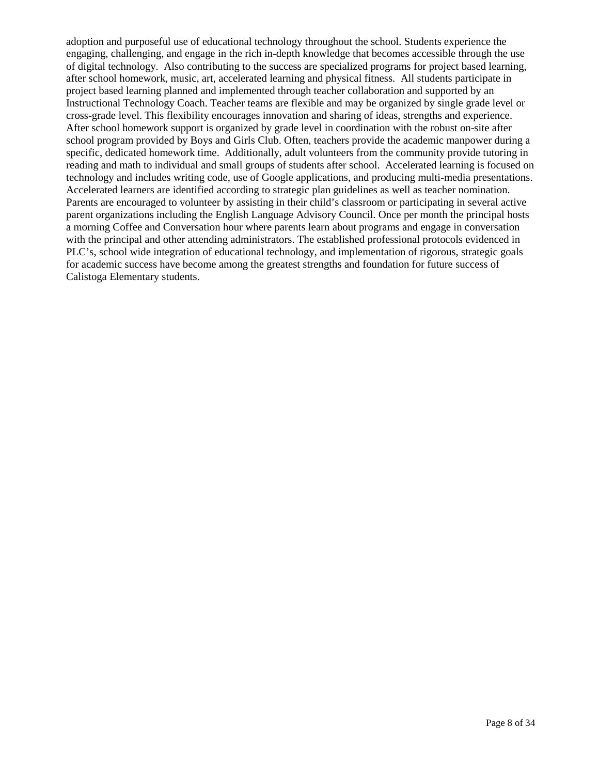adoption and purposeful use of educational technology throughout the school. Students experience the engaging, challenging, and engage in the rich in-depth knowledge that becomes accessible through the use of digital technology. Also contributing to the success are specialized programs for project based learning, after school homework, music, art, accelerated learning and physical fitness. All students participate in project based learning planned and implemented through teacher collaboration and supported by an Instructional Technology Coach. Teacher teams are flexible and may be organized by single grade level or cross-grade level. This flexibility encourages innovation and sharing of ideas, strengths and experience. After school homework support is organized by grade level in coordination with the robust on-site after school program provided by Boys and Girls Club. Often, teachers provide the academic manpower during a specific, dedicated homework time. Additionally, adult volunteers from the community provide tutoring in reading and math to individual and small groups of students after school. Accelerated learning is focused on technology and includes writing code, use of Google applications, and producing multi-media presentations. Accelerated learners are identified according to strategic plan guidelines as well as teacher nomination. Parents are encouraged to volunteer by assisting in their child's classroom or participating in several active parent organizations including the English Language Advisory Council. Once per month the principal hosts a morning Coffee and Conversation hour where parents learn about programs and engage in conversation with the principal and other attending administrators. The established professional protocols evidenced in PLC's, school wide integration of educational technology, and implementation of rigorous, strategic goals for academic success have become among the greatest strengths and foundation for future success of Calistoga Elementary students.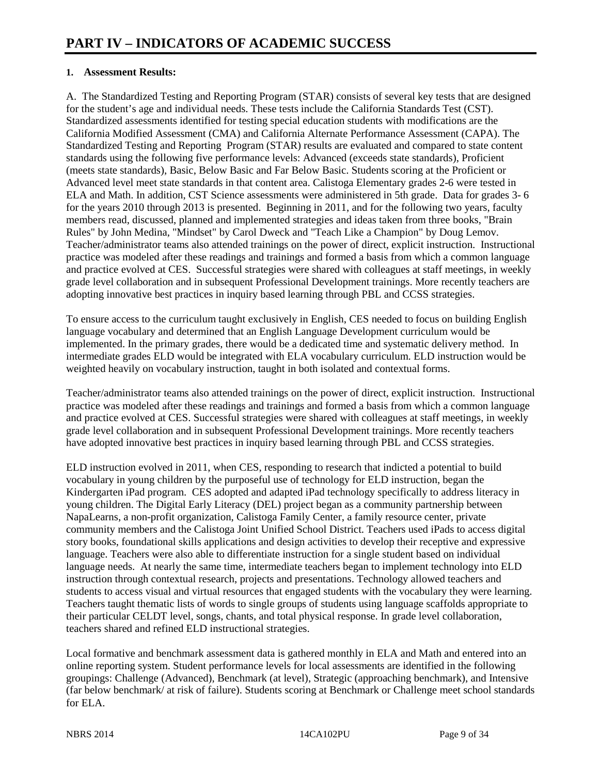#### **1. Assessment Results:**

A. The Standardized Testing and Reporting Program (STAR) consists of several key tests that are designed for the student's age and individual needs. These tests include the California Standards Test (CST). Standardized assessments identified for testing special education students with modifications are the California Modified Assessment (CMA) and California Alternate Performance Assessment (CAPA). The Standardized Testing and Reporting Program (STAR) results are evaluated and compared to state content standards using the following five performance levels: Advanced (exceeds state standards), Proficient (meets state standards), Basic, Below Basic and Far Below Basic. Students scoring at the Proficient or Advanced level meet state standards in that content area. Calistoga Elementary grades 2-6 were tested in ELA and Math. In addition, CST Science assessments were administered in 5th grade. Data for grades 3- 6 for the years 2010 through 2013 is presented. Beginning in 2011, and for the following two years, faculty members read, discussed, planned and implemented strategies and ideas taken from three books, "Brain Rules" by John Medina, "Mindset" by Carol Dweck and "Teach Like a Champion" by Doug Lemov. Teacher/administrator teams also attended trainings on the power of direct, explicit instruction. Instructional practice was modeled after these readings and trainings and formed a basis from which a common language and practice evolved at CES. Successful strategies were shared with colleagues at staff meetings, in weekly grade level collaboration and in subsequent Professional Development trainings. More recently teachers are adopting innovative best practices in inquiry based learning through PBL and CCSS strategies.

To ensure access to the curriculum taught exclusively in English, CES needed to focus on building English language vocabulary and determined that an English Language Development curriculum would be implemented. In the primary grades, there would be a dedicated time and systematic delivery method. In intermediate grades ELD would be integrated with ELA vocabulary curriculum. ELD instruction would be weighted heavily on vocabulary instruction, taught in both isolated and contextual forms.

Teacher/administrator teams also attended trainings on the power of direct, explicit instruction. Instructional practice was modeled after these readings and trainings and formed a basis from which a common language and practice evolved at CES. Successful strategies were shared with colleagues at staff meetings, in weekly grade level collaboration and in subsequent Professional Development trainings. More recently teachers have adopted innovative best practices in inquiry based learning through PBL and CCSS strategies.

ELD instruction evolved in 2011, when CES, responding to research that indicted a potential to build vocabulary in young children by the purposeful use of technology for ELD instruction, began the Kindergarten iPad program. CES adopted and adapted iPad technology specifically to address literacy in young children. The Digital Early Literacy (DEL) project began as a community partnership between NapaLearns, a non-profit organization, Calistoga Family Center, a family resource center, private community members and the Calistoga Joint Unified School District. Teachers used iPads to access digital story books, foundational skills applications and design activities to develop their receptive and expressive language. Teachers were also able to differentiate instruction for a single student based on individual language needs. At nearly the same time, intermediate teachers began to implement technology into ELD instruction through contextual research, projects and presentations. Technology allowed teachers and students to access visual and virtual resources that engaged students with the vocabulary they were learning. Teachers taught thematic lists of words to single groups of students using language scaffolds appropriate to their particular CELDT level, songs, chants, and total physical response. In grade level collaboration, teachers shared and refined ELD instructional strategies.

Local formative and benchmark assessment data is gathered monthly in ELA and Math and entered into an online reporting system. Student performance levels for local assessments are identified in the following groupings: Challenge (Advanced), Benchmark (at level), Strategic (approaching benchmark), and Intensive (far below benchmark/ at risk of failure). Students scoring at Benchmark or Challenge meet school standards for ELA.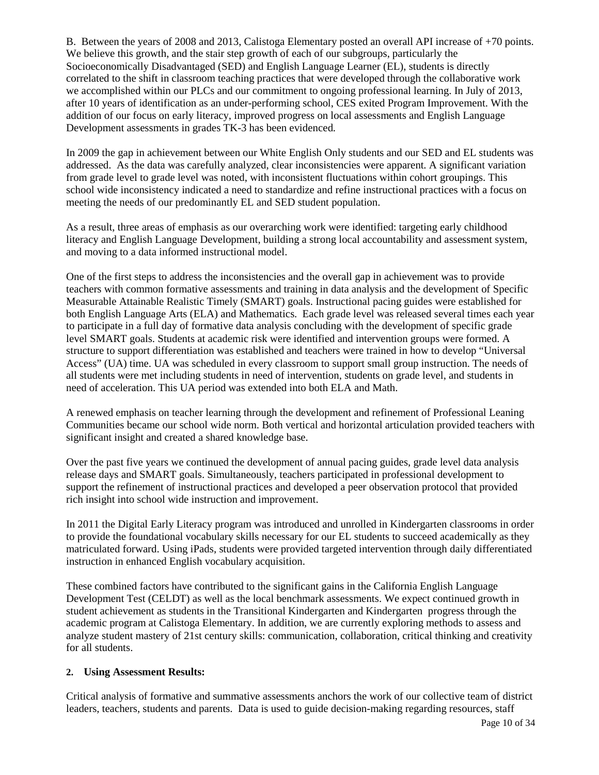B. Between the years of 2008 and 2013, Calistoga Elementary posted an overall API increase of +70 points. We believe this growth, and the stair step growth of each of our subgroups, particularly the Socioeconomically Disadvantaged (SED) and English Language Learner (EL), students is directly correlated to the shift in classroom teaching practices that were developed through the collaborative work we accomplished within our PLCs and our commitment to ongoing professional learning. In July of 2013, after 10 years of identification as an under-performing school, CES exited Program Improvement. With the addition of our focus on early literacy, improved progress on local assessments and English Language Development assessments in grades TK-3 has been evidenced.

In 2009 the gap in achievement between our White English Only students and our SED and EL students was addressed. As the data was carefully analyzed, clear inconsistencies were apparent. A significant variation from grade level to grade level was noted, with inconsistent fluctuations within cohort groupings. This school wide inconsistency indicated a need to standardize and refine instructional practices with a focus on meeting the needs of our predominantly EL and SED student population.

As a result, three areas of emphasis as our overarching work were identified: targeting early childhood literacy and English Language Development, building a strong local accountability and assessment system, and moving to a data informed instructional model.

One of the first steps to address the inconsistencies and the overall gap in achievement was to provide teachers with common formative assessments and training in data analysis and the development of Specific Measurable Attainable Realistic Timely (SMART) goals. Instructional pacing guides were established for both English Language Arts (ELA) and Mathematics. Each grade level was released several times each year to participate in a full day of formative data analysis concluding with the development of specific grade level SMART goals. Students at academic risk were identified and intervention groups were formed. A structure to support differentiation was established and teachers were trained in how to develop "Universal Access" (UA) time. UA was scheduled in every classroom to support small group instruction. The needs of all students were met including students in need of intervention, students on grade level, and students in need of acceleration. This UA period was extended into both ELA and Math.

A renewed emphasis on teacher learning through the development and refinement of Professional Leaning Communities became our school wide norm. Both vertical and horizontal articulation provided teachers with significant insight and created a shared knowledge base.

Over the past five years we continued the development of annual pacing guides, grade level data analysis release days and SMART goals. Simultaneously, teachers participated in professional development to support the refinement of instructional practices and developed a peer observation protocol that provided rich insight into school wide instruction and improvement.

In 2011 the Digital Early Literacy program was introduced and unrolled in Kindergarten classrooms in order to provide the foundational vocabulary skills necessary for our EL students to succeed academically as they matriculated forward. Using iPads, students were provided targeted intervention through daily differentiated instruction in enhanced English vocabulary acquisition.

These combined factors have contributed to the significant gains in the California English Language Development Test (CELDT) as well as the local benchmark assessments. We expect continued growth in student achievement as students in the Transitional Kindergarten and Kindergarten progress through the academic program at Calistoga Elementary. In addition, we are currently exploring methods to assess and analyze student mastery of 21st century skills: communication, collaboration, critical thinking and creativity for all students.

#### **2. Using Assessment Results:**

Critical analysis of formative and summative assessments anchors the work of our collective team of district leaders, teachers, students and parents. Data is used to guide decision-making regarding resources, staff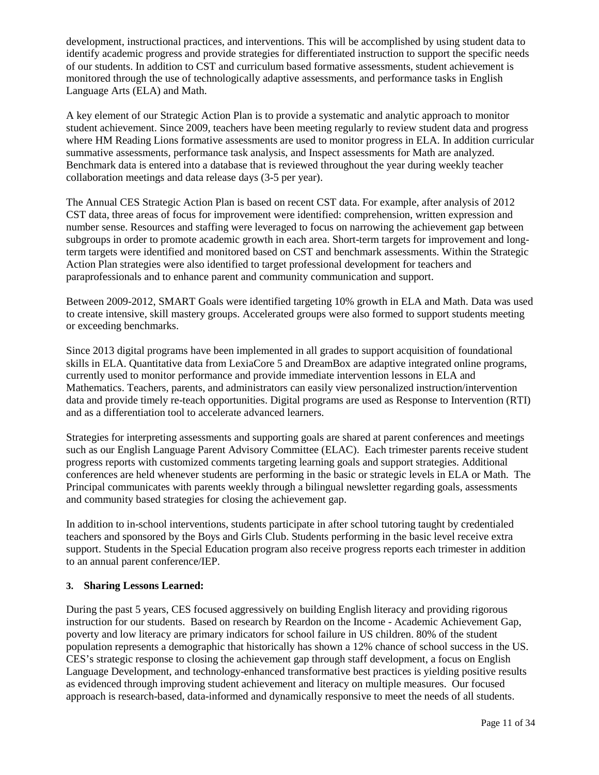development, instructional practices, and interventions. This will be accomplished by using student data to identify academic progress and provide strategies for differentiated instruction to support the specific needs of our students. In addition to CST and curriculum based formative assessments, student achievement is monitored through the use of technologically adaptive assessments, and performance tasks in English Language Arts (ELA) and Math.

A key element of our Strategic Action Plan is to provide a systematic and analytic approach to monitor student achievement. Since 2009, teachers have been meeting regularly to review student data and progress where HM Reading Lions formative assessments are used to monitor progress in ELA. In addition curricular summative assessments, performance task analysis, and Inspect assessments for Math are analyzed. Benchmark data is entered into a database that is reviewed throughout the year during weekly teacher collaboration meetings and data release days (3-5 per year).

The Annual CES Strategic Action Plan is based on recent CST data. For example, after analysis of 2012 CST data, three areas of focus for improvement were identified: comprehension, written expression and number sense. Resources and staffing were leveraged to focus on narrowing the achievement gap between subgroups in order to promote academic growth in each area. Short-term targets for improvement and longterm targets were identified and monitored based on CST and benchmark assessments. Within the Strategic Action Plan strategies were also identified to target professional development for teachers and paraprofessionals and to enhance parent and community communication and support.

Between 2009-2012, SMART Goals were identified targeting 10% growth in ELA and Math. Data was used to create intensive, skill mastery groups. Accelerated groups were also formed to support students meeting or exceeding benchmarks.

Since 2013 digital programs have been implemented in all grades to support acquisition of foundational skills in ELA. Quantitative data from LexiaCore 5 and DreamBox are adaptive integrated online programs, currently used to monitor performance and provide immediate intervention lessons in ELA and Mathematics. Teachers, parents, and administrators can easily view personalized instruction/intervention data and provide timely re-teach opportunities. Digital programs are used as Response to Intervention (RTI) and as a differentiation tool to accelerate advanced learners.

Strategies for interpreting assessments and supporting goals are shared at parent conferences and meetings such as our English Language Parent Advisory Committee (ELAC). Each trimester parents receive student progress reports with customized comments targeting learning goals and support strategies. Additional conferences are held whenever students are performing in the basic or strategic levels in ELA or Math. The Principal communicates with parents weekly through a bilingual newsletter regarding goals, assessments and community based strategies for closing the achievement gap.

In addition to in-school interventions, students participate in after school tutoring taught by credentialed teachers and sponsored by the Boys and Girls Club. Students performing in the basic level receive extra support. Students in the Special Education program also receive progress reports each trimester in addition to an annual parent conference/IEP.

#### **3. Sharing Lessons Learned:**

During the past 5 years, CES focused aggressively on building English literacy and providing rigorous instruction for our students. Based on research by Reardon on the Income - Academic Achievement Gap, poverty and low literacy are primary indicators for school failure in US children. 80% of the student population represents a demographic that historically has shown a 12% chance of school success in the US. CES's strategic response to closing the achievement gap through staff development, a focus on English Language Development, and technology-enhanced transformative best practices is yielding positive results as evidenced through improving student achievement and literacy on multiple measures. Our focused approach is research-based, data-informed and dynamically responsive to meet the needs of all students.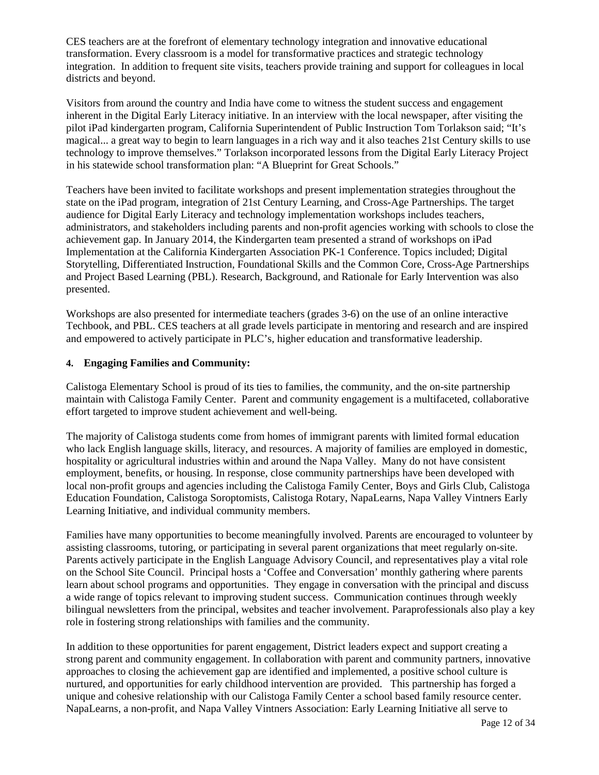CES teachers are at the forefront of elementary technology integration and innovative educational transformation. Every classroom is a model for transformative practices and strategic technology integration. In addition to frequent site visits, teachers provide training and support for colleagues in local districts and beyond.

Visitors from around the country and India have come to witness the student success and engagement inherent in the Digital Early Literacy initiative. In an interview with the local newspaper, after visiting the pilot iPad kindergarten program, California Superintendent of Public Instruction Tom Torlakson said; "It's magical... a great way to begin to learn languages in a rich way and it also teaches 21st Century skills to use technology to improve themselves." Torlakson incorporated lessons from the Digital Early Literacy Project in his statewide school transformation plan: "A Blueprint for Great Schools."

Teachers have been invited to facilitate workshops and present implementation strategies throughout the state on the iPad program, integration of 21st Century Learning, and Cross-Age Partnerships. The target audience for Digital Early Literacy and technology implementation workshops includes teachers, administrators, and stakeholders including parents and non-profit agencies working with schools to close the achievement gap. In January 2014, the Kindergarten team presented a strand of workshops on iPad Implementation at the California Kindergarten Association PK-1 Conference. Topics included; Digital Storytelling, Differentiated Instruction, Foundational Skills and the Common Core, Cross-Age Partnerships and Project Based Learning (PBL). Research, Background, and Rationale for Early Intervention was also presented.

Workshops are also presented for intermediate teachers (grades 3-6) on the use of an online interactive Techbook, and PBL. CES teachers at all grade levels participate in mentoring and research and are inspired and empowered to actively participate in PLC's, higher education and transformative leadership.

#### **4. Engaging Families and Community:**

Calistoga Elementary School is proud of its ties to families, the community, and the on-site partnership maintain with Calistoga Family Center. Parent and community engagement is a multifaceted, collaborative effort targeted to improve student achievement and well-being.

The majority of Calistoga students come from homes of immigrant parents with limited formal education who lack English language skills, literacy, and resources. A majority of families are employed in domestic, hospitality or agricultural industries within and around the Napa Valley. Many do not have consistent employment, benefits, or housing. In response, close community partnerships have been developed with local non-profit groups and agencies including the Calistoga Family Center, Boys and Girls Club, Calistoga Education Foundation, Calistoga Soroptomists, Calistoga Rotary, NapaLearns, Napa Valley Vintners Early Learning Initiative, and individual community members.

Families have many opportunities to become meaningfully involved. Parents are encouraged to volunteer by assisting classrooms, tutoring, or participating in several parent organizations that meet regularly on-site. Parents actively participate in the English Language Advisory Council, and representatives play a vital role on the School Site Council. Principal hosts a 'Coffee and Conversation' monthly gathering where parents learn about school programs and opportunities. They engage in conversation with the principal and discuss a wide range of topics relevant to improving student success. Communication continues through weekly bilingual newsletters from the principal, websites and teacher involvement. Paraprofessionals also play a key role in fostering strong relationships with families and the community.

In addition to these opportunities for parent engagement, District leaders expect and support creating a strong parent and community engagement. In collaboration with parent and community partners, innovative approaches to closing the achievement gap are identified and implemented, a positive school culture is nurtured, and opportunities for early childhood intervention are provided. This partnership has forged a unique and cohesive relationship with our Calistoga Family Center a school based family resource center. NapaLearns, a non-profit, and Napa Valley Vintners Association: Early Learning Initiative all serve to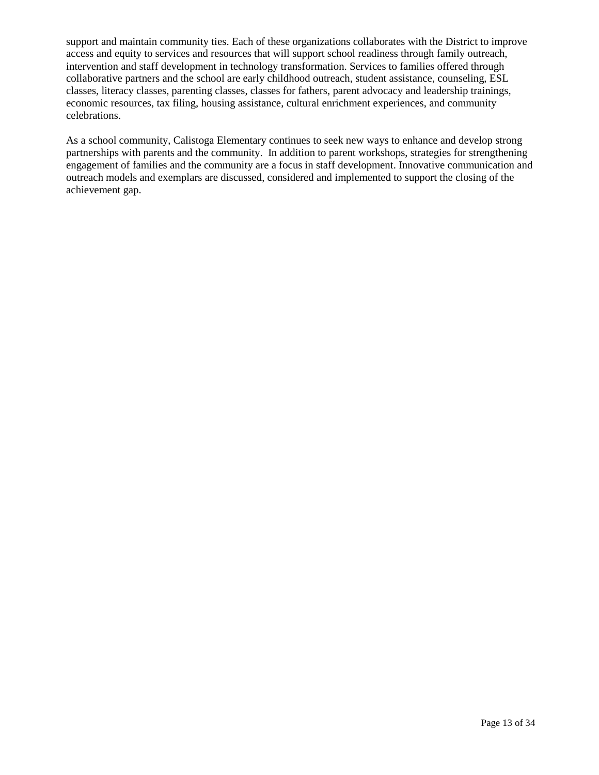support and maintain community ties. Each of these organizations collaborates with the District to improve access and equity to services and resources that will support school readiness through family outreach, intervention and staff development in technology transformation. Services to families offered through collaborative partners and the school are early childhood outreach, student assistance, counseling, ESL classes, literacy classes, parenting classes, classes for fathers, parent advocacy and leadership trainings, economic resources, tax filing, housing assistance, cultural enrichment experiences, and community celebrations.

As a school community, Calistoga Elementary continues to seek new ways to enhance and develop strong partnerships with parents and the community. In addition to parent workshops, strategies for strengthening engagement of families and the community are a focus in staff development. Innovative communication and outreach models and exemplars are discussed, considered and implemented to support the closing of the achievement gap.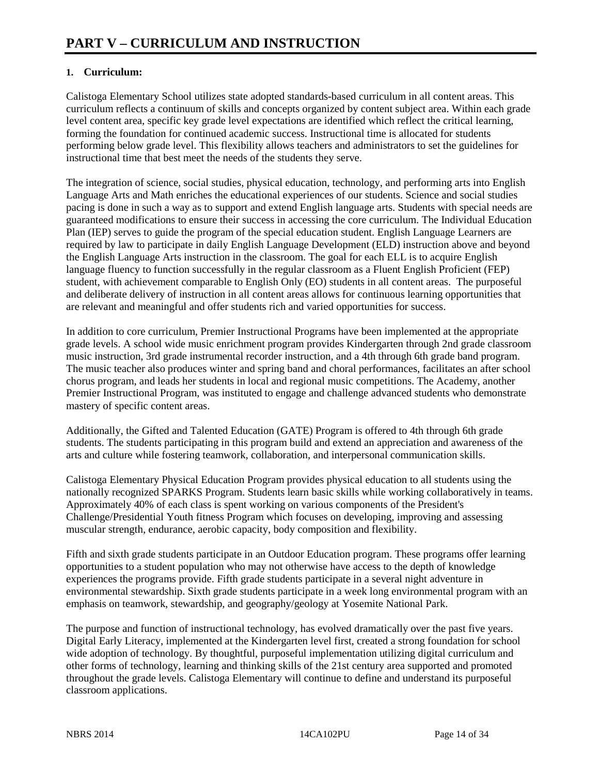#### **1. Curriculum:**

Calistoga Elementary School utilizes state adopted standards-based curriculum in all content areas. This curriculum reflects a continuum of skills and concepts organized by content subject area. Within each grade level content area, specific key grade level expectations are identified which reflect the critical learning, forming the foundation for continued academic success. Instructional time is allocated for students performing below grade level. This flexibility allows teachers and administrators to set the guidelines for instructional time that best meet the needs of the students they serve.

The integration of science, social studies, physical education, technology, and performing arts into English Language Arts and Math enriches the educational experiences of our students. Science and social studies pacing is done in such a way as to support and extend English language arts. Students with special needs are guaranteed modifications to ensure their success in accessing the core curriculum. The Individual Education Plan (IEP) serves to guide the program of the special education student. English Language Learners are required by law to participate in daily English Language Development (ELD) instruction above and beyond the English Language Arts instruction in the classroom. The goal for each ELL is to acquire English language fluency to function successfully in the regular classroom as a Fluent English Proficient (FEP) student, with achievement comparable to English Only (EO) students in all content areas. The purposeful and deliberate delivery of instruction in all content areas allows for continuous learning opportunities that are relevant and meaningful and offer students rich and varied opportunities for success.

In addition to core curriculum, Premier Instructional Programs have been implemented at the appropriate grade levels. A school wide music enrichment program provides Kindergarten through 2nd grade classroom music instruction, 3rd grade instrumental recorder instruction, and a 4th through 6th grade band program. The music teacher also produces winter and spring band and choral performances, facilitates an after school chorus program, and leads her students in local and regional music competitions. The Academy, another Premier Instructional Program, was instituted to engage and challenge advanced students who demonstrate mastery of specific content areas.

Additionally, the Gifted and Talented Education (GATE) Program is offered to 4th through 6th grade students. The students participating in this program build and extend an appreciation and awareness of the arts and culture while fostering teamwork, collaboration, and interpersonal communication skills.

Calistoga Elementary Physical Education Program provides physical education to all students using the nationally recognized SPARKS Program. Students learn basic skills while working collaboratively in teams. Approximately 40% of each class is spent working on various components of the President's Challenge/Presidential Youth fitness Program which focuses on developing, improving and assessing muscular strength, endurance, aerobic capacity, body composition and flexibility.

Fifth and sixth grade students participate in an Outdoor Education program. These programs offer learning opportunities to a student population who may not otherwise have access to the depth of knowledge experiences the programs provide. Fifth grade students participate in a several night adventure in environmental stewardship. Sixth grade students participate in a week long environmental program with an emphasis on teamwork, stewardship, and geography/geology at Yosemite National Park.

The purpose and function of instructional technology, has evolved dramatically over the past five years. Digital Early Literacy, implemented at the Kindergarten level first, created a strong foundation for school wide adoption of technology. By thoughtful, purposeful implementation utilizing digital curriculum and other forms of technology, learning and thinking skills of the 21st century area supported and promoted throughout the grade levels. Calistoga Elementary will continue to define and understand its purposeful classroom applications.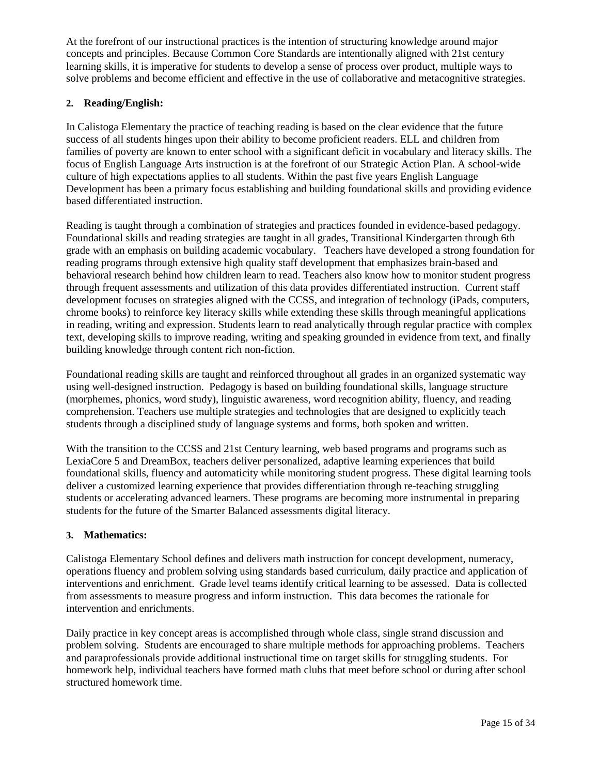At the forefront of our instructional practices is the intention of structuring knowledge around major concepts and principles. Because Common Core Standards are intentionally aligned with 21st century learning skills, it is imperative for students to develop a sense of process over product, multiple ways to solve problems and become efficient and effective in the use of collaborative and metacognitive strategies.

#### **2. Reading/English:**

In Calistoga Elementary the practice of teaching reading is based on the clear evidence that the future success of all students hinges upon their ability to become proficient readers. ELL and children from families of poverty are known to enter school with a significant deficit in vocabulary and literacy skills. The focus of English Language Arts instruction is at the forefront of our Strategic Action Plan. A school-wide culture of high expectations applies to all students. Within the past five years English Language Development has been a primary focus establishing and building foundational skills and providing evidence based differentiated instruction.

Reading is taught through a combination of strategies and practices founded in evidence-based pedagogy. Foundational skills and reading strategies are taught in all grades, Transitional Kindergarten through 6th grade with an emphasis on building academic vocabulary. Teachers have developed a strong foundation for reading programs through extensive high quality staff development that emphasizes brain-based and behavioral research behind how children learn to read. Teachers also know how to monitor student progress through frequent assessments and utilization of this data provides differentiated instruction. Current staff development focuses on strategies aligned with the CCSS, and integration of technology (iPads, computers, chrome books) to reinforce key literacy skills while extending these skills through meaningful applications in reading, writing and expression. Students learn to read analytically through regular practice with complex text, developing skills to improve reading, writing and speaking grounded in evidence from text, and finally building knowledge through content rich non-fiction.

Foundational reading skills are taught and reinforced throughout all grades in an organized systematic way using well-designed instruction. Pedagogy is based on building foundational skills, language structure (morphemes, phonics, word study), linguistic awareness, word recognition ability, fluency, and reading comprehension. Teachers use multiple strategies and technologies that are designed to explicitly teach students through a disciplined study of language systems and forms, both spoken and written.

With the transition to the CCSS and 21st Century learning, web based programs and programs such as LexiaCore 5 and DreamBox, teachers deliver personalized, adaptive learning experiences that build foundational skills, fluency and automaticity while monitoring student progress. These digital learning tools deliver a customized learning experience that provides differentiation through re-teaching struggling students or accelerating advanced learners. These programs are becoming more instrumental in preparing students for the future of the Smarter Balanced assessments digital literacy.

#### **3. Mathematics:**

Calistoga Elementary School defines and delivers math instruction for concept development, numeracy, operations fluency and problem solving using standards based curriculum, daily practice and application of interventions and enrichment. Grade level teams identify critical learning to be assessed. Data is collected from assessments to measure progress and inform instruction. This data becomes the rationale for intervention and enrichments.

Daily practice in key concept areas is accomplished through whole class, single strand discussion and problem solving. Students are encouraged to share multiple methods for approaching problems. Teachers and paraprofessionals provide additional instructional time on target skills for struggling students. For homework help, individual teachers have formed math clubs that meet before school or during after school structured homework time.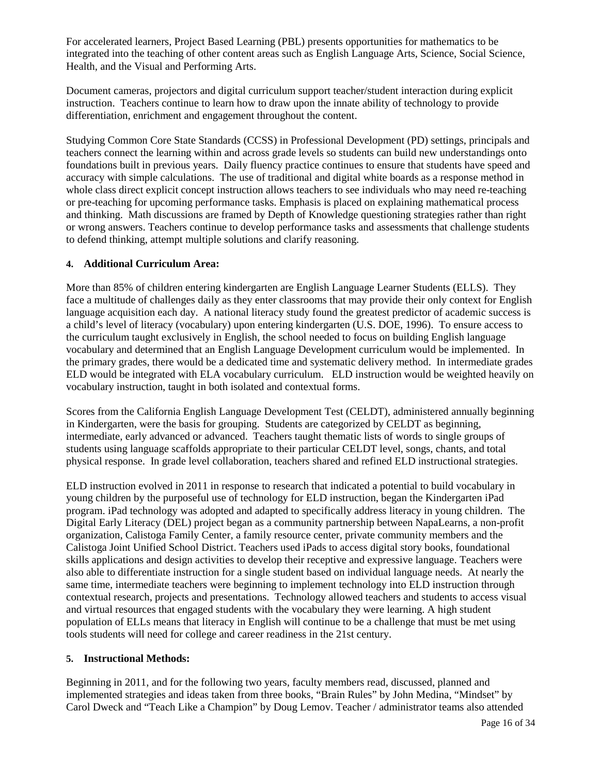For accelerated learners, Project Based Learning (PBL) presents opportunities for mathematics to be integrated into the teaching of other content areas such as English Language Arts, Science, Social Science, Health, and the Visual and Performing Arts.

Document cameras, projectors and digital curriculum support teacher/student interaction during explicit instruction. Teachers continue to learn how to draw upon the innate ability of technology to provide differentiation, enrichment and engagement throughout the content.

Studying Common Core State Standards (CCSS) in Professional Development (PD) settings, principals and teachers connect the learning within and across grade levels so students can build new understandings onto foundations built in previous years. Daily fluency practice continues to ensure that students have speed and accuracy with simple calculations. The use of traditional and digital white boards as a response method in whole class direct explicit concept instruction allows teachers to see individuals who may need re-teaching or pre-teaching for upcoming performance tasks. Emphasis is placed on explaining mathematical process and thinking. Math discussions are framed by Depth of Knowledge questioning strategies rather than right or wrong answers. Teachers continue to develop performance tasks and assessments that challenge students to defend thinking, attempt multiple solutions and clarify reasoning.

#### **4. Additional Curriculum Area:**

More than 85% of children entering kindergarten are English Language Learner Students (ELLS). They face a multitude of challenges daily as they enter classrooms that may provide their only context for English language acquisition each day. A national literacy study found the greatest predictor of academic success is a child's level of literacy (vocabulary) upon entering kindergarten (U.S. DOE, 1996). To ensure access to the curriculum taught exclusively in English, the school needed to focus on building English language vocabulary and determined that an English Language Development curriculum would be implemented. In the primary grades, there would be a dedicated time and systematic delivery method. In intermediate grades ELD would be integrated with ELA vocabulary curriculum. ELD instruction would be weighted heavily on vocabulary instruction, taught in both isolated and contextual forms.

Scores from the California English Language Development Test (CELDT), administered annually beginning in Kindergarten, were the basis for grouping. Students are categorized by CELDT as beginning, intermediate, early advanced or advanced. Teachers taught thematic lists of words to single groups of students using language scaffolds appropriate to their particular CELDT level, songs, chants, and total physical response. In grade level collaboration, teachers shared and refined ELD instructional strategies.

ELD instruction evolved in 2011 in response to research that indicated a potential to build vocabulary in young children by the purposeful use of technology for ELD instruction, began the Kindergarten iPad program. iPad technology was adopted and adapted to specifically address literacy in young children. The Digital Early Literacy (DEL) project began as a community partnership between NapaLearns, a non-profit organization, Calistoga Family Center, a family resource center, private community members and the Calistoga Joint Unified School District. Teachers used iPads to access digital story books, foundational skills applications and design activities to develop their receptive and expressive language. Teachers were also able to differentiate instruction for a single student based on individual language needs. At nearly the same time, intermediate teachers were beginning to implement technology into ELD instruction through contextual research, projects and presentations. Technology allowed teachers and students to access visual and virtual resources that engaged students with the vocabulary they were learning. A high student population of ELLs means that literacy in English will continue to be a challenge that must be met using tools students will need for college and career readiness in the 21st century.

#### **5. Instructional Methods:**

Beginning in 2011, and for the following two years, faculty members read, discussed, planned and implemented strategies and ideas taken from three books, "Brain Rules" by John Medina, "Mindset" by Carol Dweck and "Teach Like a Champion" by Doug Lemov. Teacher / administrator teams also attended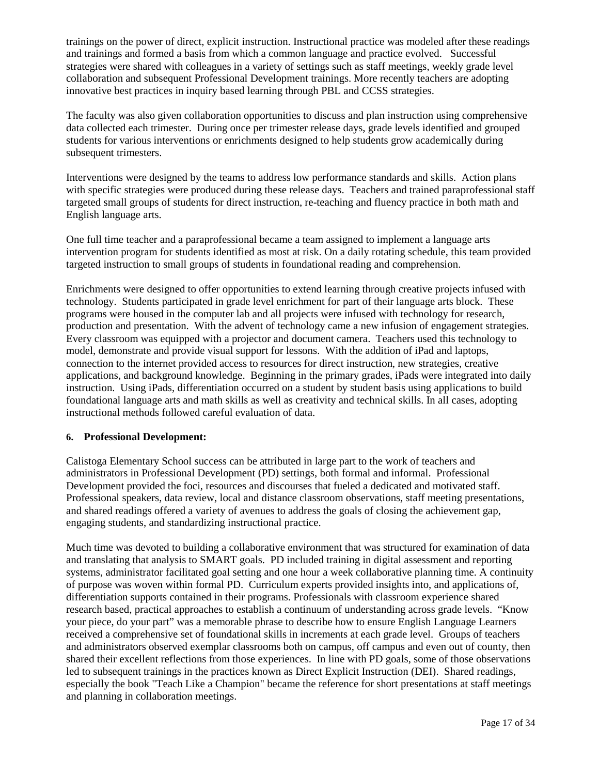trainings on the power of direct, explicit instruction. Instructional practice was modeled after these readings and trainings and formed a basis from which a common language and practice evolved. Successful strategies were shared with colleagues in a variety of settings such as staff meetings, weekly grade level collaboration and subsequent Professional Development trainings. More recently teachers are adopting innovative best practices in inquiry based learning through PBL and CCSS strategies.

The faculty was also given collaboration opportunities to discuss and plan instruction using comprehensive data collected each trimester. During once per trimester release days, grade levels identified and grouped students for various interventions or enrichments designed to help students grow academically during subsequent trimesters.

Interventions were designed by the teams to address low performance standards and skills. Action plans with specific strategies were produced during these release days. Teachers and trained paraprofessional staff targeted small groups of students for direct instruction, re-teaching and fluency practice in both math and English language arts.

One full time teacher and a paraprofessional became a team assigned to implement a language arts intervention program for students identified as most at risk. On a daily rotating schedule, this team provided targeted instruction to small groups of students in foundational reading and comprehension.

Enrichments were designed to offer opportunities to extend learning through creative projects infused with technology. Students participated in grade level enrichment for part of their language arts block. These programs were housed in the computer lab and all projects were infused with technology for research, production and presentation. With the advent of technology came a new infusion of engagement strategies. Every classroom was equipped with a projector and document camera. Teachers used this technology to model, demonstrate and provide visual support for lessons. With the addition of iPad and laptops, connection to the internet provided access to resources for direct instruction, new strategies, creative applications, and background knowledge. Beginning in the primary grades, iPads were integrated into daily instruction. Using iPads, differentiation occurred on a student by student basis using applications to build foundational language arts and math skills as well as creativity and technical skills. In all cases, adopting instructional methods followed careful evaluation of data.

#### **6. Professional Development:**

Calistoga Elementary School success can be attributed in large part to the work of teachers and administrators in Professional Development (PD) settings, both formal and informal. Professional Development provided the foci, resources and discourses that fueled a dedicated and motivated staff. Professional speakers, data review, local and distance classroom observations, staff meeting presentations, and shared readings offered a variety of avenues to address the goals of closing the achievement gap, engaging students, and standardizing instructional practice.

Much time was devoted to building a collaborative environment that was structured for examination of data and translating that analysis to SMART goals. PD included training in digital assessment and reporting systems, administrator facilitated goal setting and one hour a week collaborative planning time. A continuity of purpose was woven within formal PD. Curriculum experts provided insights into, and applications of, differentiation supports contained in their programs. Professionals with classroom experience shared research based, practical approaches to establish a continuum of understanding across grade levels. "Know your piece, do your part" was a memorable phrase to describe how to ensure English Language Learners received a comprehensive set of foundational skills in increments at each grade level. Groups of teachers and administrators observed exemplar classrooms both on campus, off campus and even out of county, then shared their excellent reflections from those experiences. In line with PD goals, some of those observations led to subsequent trainings in the practices known as Direct Explicit Instruction (DEI). Shared readings, especially the book "Teach Like a Champion" became the reference for short presentations at staff meetings and planning in collaboration meetings.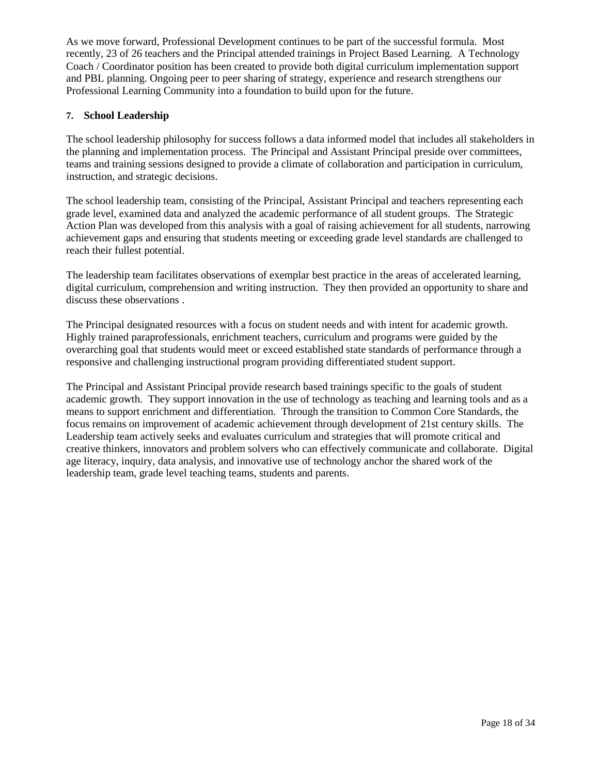As we move forward, Professional Development continues to be part of the successful formula. Most recently, 23 of 26 teachers and the Principal attended trainings in Project Based Learning. A Technology Coach / Coordinator position has been created to provide both digital curriculum implementation support and PBL planning. Ongoing peer to peer sharing of strategy, experience and research strengthens our Professional Learning Community into a foundation to build upon for the future.

#### **7. School Leadership**

The school leadership philosophy for success follows a data informed model that includes all stakeholders in the planning and implementation process. The Principal and Assistant Principal preside over committees, teams and training sessions designed to provide a climate of collaboration and participation in curriculum, instruction, and strategic decisions.

The school leadership team, consisting of the Principal, Assistant Principal and teachers representing each grade level, examined data and analyzed the academic performance of all student groups. The Strategic Action Plan was developed from this analysis with a goal of raising achievement for all students, narrowing achievement gaps and ensuring that students meeting or exceeding grade level standards are challenged to reach their fullest potential.

The leadership team facilitates observations of exemplar best practice in the areas of accelerated learning, digital curriculum, comprehension and writing instruction. They then provided an opportunity to share and discuss these observations .

The Principal designated resources with a focus on student needs and with intent for academic growth. Highly trained paraprofessionals, enrichment teachers, curriculum and programs were guided by the overarching goal that students would meet or exceed established state standards of performance through a responsive and challenging instructional program providing differentiated student support.

The Principal and Assistant Principal provide research based trainings specific to the goals of student academic growth. They support innovation in the use of technology as teaching and learning tools and as a means to support enrichment and differentiation. Through the transition to Common Core Standards, the focus remains on improvement of academic achievement through development of 21st century skills. The Leadership team actively seeks and evaluates curriculum and strategies that will promote critical and creative thinkers, innovators and problem solvers who can effectively communicate and collaborate. Digital age literacy, inquiry, data analysis, and innovative use of technology anchor the shared work of the leadership team, grade level teaching teams, students and parents.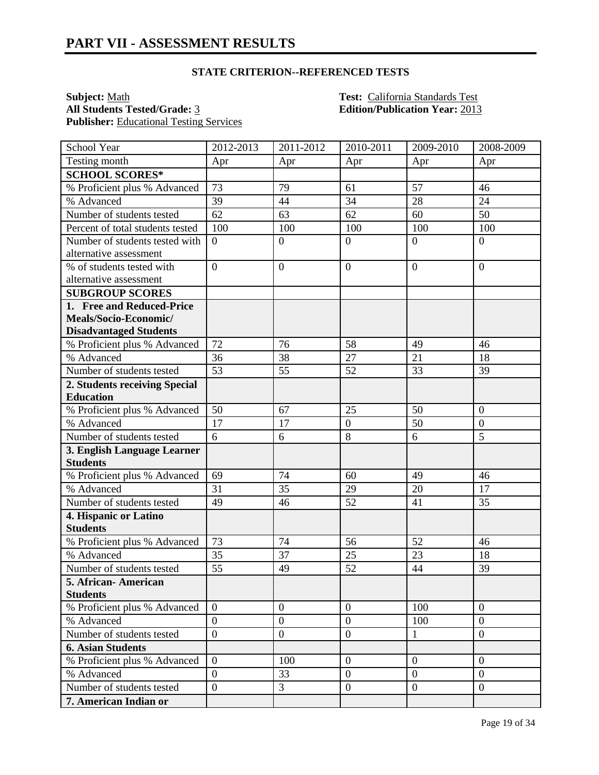**Subject:** <u>Math **Test:** California Standards Test</u><br> **All Students Tested/Grade:** 3 **Test:** California Standards Test<br> **Edition/Publication Year:** 2013 Publisher: **Educational Testing Services** 

**All Students Tested/Grade:** 3 **Edition/Publication Year:** 2013

| School Year                      | 2012-2013        | 2011-2012        | 2010-2011        | 2009-2010        | 2008-2009        |
|----------------------------------|------------------|------------------|------------------|------------------|------------------|
| Testing month                    | Apr              | Apr              | Apr              | Apr              | Apr              |
| <b>SCHOOL SCORES*</b>            |                  |                  |                  |                  |                  |
| % Proficient plus % Advanced     | 73               | 79               | 61               | 57               | 46               |
| % Advanced                       | 39               | 44               | 34               | 28               | 24               |
| Number of students tested        | 62               | 63               | 62               | 60               | 50               |
| Percent of total students tested | 100              | 100              | 100              | 100              | 100              |
| Number of students tested with   | $\boldsymbol{0}$ | $\mathbf{0}$     | $\boldsymbol{0}$ | $\overline{0}$   | $\boldsymbol{0}$ |
| alternative assessment           |                  |                  |                  |                  |                  |
| % of students tested with        | $\overline{0}$   | $\overline{0}$   | $\overline{0}$   | $\overline{0}$   | $\overline{0}$   |
| alternative assessment           |                  |                  |                  |                  |                  |
| <b>SUBGROUP SCORES</b>           |                  |                  |                  |                  |                  |
| 1. Free and Reduced-Price        |                  |                  |                  |                  |                  |
| Meals/Socio-Economic/            |                  |                  |                  |                  |                  |
| <b>Disadvantaged Students</b>    |                  |                  |                  |                  |                  |
| % Proficient plus % Advanced     | 72               | 76               | 58               | 49               | 46               |
| % Advanced                       | 36               | 38               | 27               | 21               | 18               |
| Number of students tested        | 53               | 55               | 52               | 33               | 39               |
| 2. Students receiving Special    |                  |                  |                  |                  |                  |
| <b>Education</b>                 |                  |                  |                  |                  |                  |
| % Proficient plus % Advanced     | 50               | 67               | 25               | 50               | $\mathbf{0}$     |
| % Advanced                       | 17               | 17               | $\boldsymbol{0}$ | 50               | $\boldsymbol{0}$ |
| Number of students tested        | 6                | 6                | 8                | 6                | 5                |
| 3. English Language Learner      |                  |                  |                  |                  |                  |
| <b>Students</b>                  |                  |                  |                  |                  |                  |
| % Proficient plus % Advanced     | 69               | 74               | 60               | 49               | 46               |
| % Advanced                       | 31               | 35               | 29               | 20               | 17               |
| Number of students tested        | 49               | 46               | 52               | 41               | 35               |
| 4. Hispanic or Latino            |                  |                  |                  |                  |                  |
| <b>Students</b>                  |                  |                  |                  |                  |                  |
| % Proficient plus % Advanced     | 73               | 74               | 56               | 52               | 46               |
| % Advanced                       | 35               | 37               | 25               | 23               | 18               |
| Number of students tested        | 55               | 49               | 52               | 44               | 39               |
| 5. African-American              |                  |                  |                  |                  |                  |
| <b>Students</b>                  |                  |                  |                  |                  |                  |
| % Proficient plus % Advanced     | $\overline{0}$   | $\overline{0}$   | $\overline{0}$   | 100              | $\overline{0}$   |
| % Advanced                       | $\overline{0}$   | $\boldsymbol{0}$ | $\boldsymbol{0}$ | 100              | $\boldsymbol{0}$ |
| Number of students tested        | $\overline{0}$   | $\boldsymbol{0}$ | $\overline{0}$   | 1                | $\overline{0}$   |
| <b>6. Asian Students</b>         |                  |                  |                  |                  |                  |
| % Proficient plus % Advanced     | $\overline{0}$   | 100              | $\mathbf{0}$     | $\overline{0}$   | $\overline{0}$   |
| % Advanced                       | $\overline{0}$   | 33               | $\mathbf{0}$     | $\overline{0}$   | $\overline{0}$   |
| Number of students tested        | $\overline{0}$   | 3                | $\overline{0}$   | $\boldsymbol{0}$ | $\overline{0}$   |
| 7. American Indian or            |                  |                  |                  |                  |                  |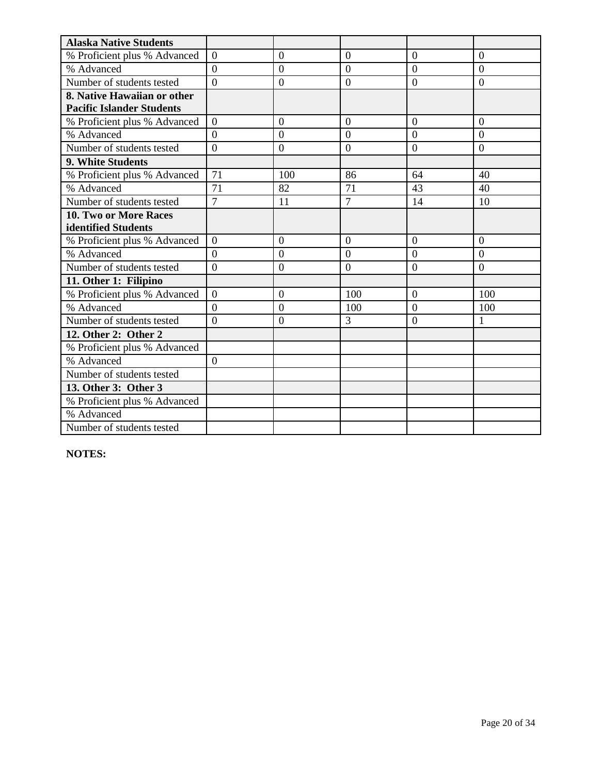| <b>Alaska Native Students</b>    |                |                |                |                |                |
|----------------------------------|----------------|----------------|----------------|----------------|----------------|
| % Proficient plus % Advanced     | $\overline{0}$ | $\theta$       | $\overline{0}$ | $\overline{0}$ | $\overline{0}$ |
| % Advanced                       | $\overline{0}$ | $\overline{0}$ | $\overline{0}$ | $\overline{0}$ | $\overline{0}$ |
| Number of students tested        | $\theta$       | $\overline{0}$ | $\overline{0}$ | $\overline{0}$ | $\overline{0}$ |
| 8. Native Hawaiian or other      |                |                |                |                |                |
| <b>Pacific Islander Students</b> |                |                |                |                |                |
| % Proficient plus % Advanced     | $\Omega$       | $\overline{0}$ | $\overline{0}$ | $\overline{0}$ | $\overline{0}$ |
| % Advanced                       | $\theta$       | $\overline{0}$ | $\theta$       | $\theta$       | $\theta$       |
| Number of students tested        | $\Omega$       | $\theta$       | $\Omega$       | $\overline{0}$ | $\Omega$       |
| 9. White Students                |                |                |                |                |                |
| % Proficient plus % Advanced     | 71             | 100            | 86             | 64             | 40             |
| % Advanced                       | 71             | 82             | 71             | 43             | 40             |
| Number of students tested        | $\overline{7}$ | 11             | $\overline{7}$ | 14             | 10             |
| <b>10. Two or More Races</b>     |                |                |                |                |                |
| identified Students              |                |                |                |                |                |
| % Proficient plus % Advanced     | $\theta$       | $\Omega$       | $\Omega$       | $\Omega$       | $\Omega$       |
| % Advanced                       | $\overline{0}$ | $\overline{0}$ | $\overline{0}$ | $\overline{0}$ | $\overline{0}$ |
| Number of students tested        | $\overline{0}$ | $\overline{0}$ | $\overline{0}$ | $\overline{0}$ | $\Omega$       |
| 11. Other 1: Filipino            |                |                |                |                |                |
| % Proficient plus % Advanced     | $\overline{0}$ | $\overline{0}$ | 100            | $\overline{0}$ | 100            |
| % Advanced                       | $\theta$       | $\overline{0}$ | 100            | $\overline{0}$ | 100            |
| Number of students tested        | $\theta$       | $\overline{0}$ | 3              | $\Omega$       | 1              |
| 12. Other 2: Other 2             |                |                |                |                |                |
| % Proficient plus % Advanced     |                |                |                |                |                |
| % Advanced                       | $\Omega$       |                |                |                |                |
| Number of students tested        |                |                |                |                |                |
| 13. Other 3: Other 3             |                |                |                |                |                |
| % Proficient plus % Advanced     |                |                |                |                |                |
| % Advanced                       |                |                |                |                |                |
| Number of students tested        |                |                |                |                |                |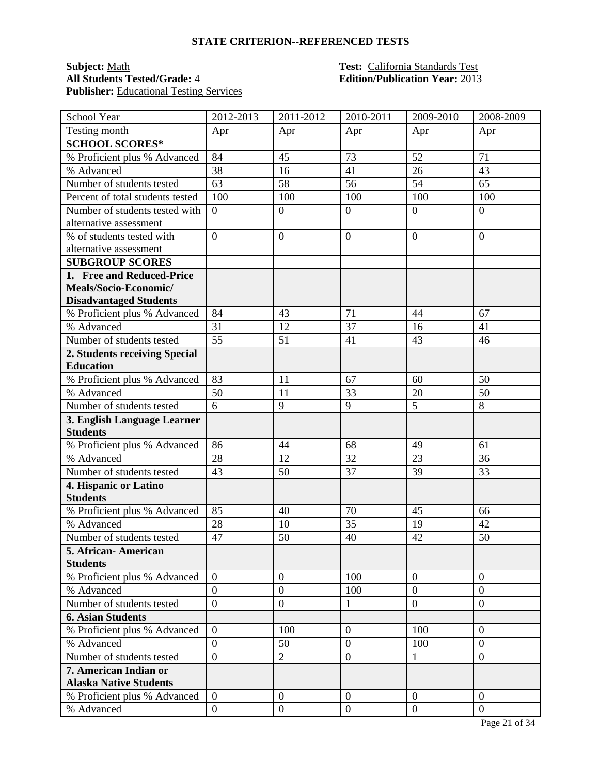### **Subject:** <u>Math **Test:** California Standards Test</u><br> **All Students Tested/Grade:** 4 **Test: California Standards Test**<br> **Edition/Publication Year:** 2013 **Publisher:** Educational Testing Services

# **All Students Tested/Grade:** 4 **Edition/Publication Year:** 2013

| School Year                      | 2012-2013        | $2011 - 2012$    | 2010-2011        | 2009-2010      | 2008-2009        |
|----------------------------------|------------------|------------------|------------------|----------------|------------------|
| Testing month                    | Apr              | Apr              | Apr              | Apr            | Apr              |
| <b>SCHOOL SCORES*</b>            |                  |                  |                  |                |                  |
| % Proficient plus % Advanced     | 84               | 45               | 73               | 52             | 71               |
| % Advanced                       | 38               | 16               | 41               | 26             | 43               |
| Number of students tested        | 63               | 58               | 56               | 54             | 65               |
| Percent of total students tested | 100              | 100              | 100              | 100            | 100              |
| Number of students tested with   | $\boldsymbol{0}$ | $\boldsymbol{0}$ | $\mathbf{0}$     | $\overline{0}$ | $\overline{0}$   |
| alternative assessment           |                  |                  |                  |                |                  |
| % of students tested with        | $\overline{0}$   | $\overline{0}$   | $\overline{0}$   | $\overline{0}$ | $\overline{0}$   |
| alternative assessment           |                  |                  |                  |                |                  |
| <b>SUBGROUP SCORES</b>           |                  |                  |                  |                |                  |
| 1. Free and Reduced-Price        |                  |                  |                  |                |                  |
| Meals/Socio-Economic/            |                  |                  |                  |                |                  |
| <b>Disadvantaged Students</b>    |                  |                  |                  |                |                  |
| % Proficient plus % Advanced     | 84               | 43               | 71               | 44             | 67               |
| % Advanced                       | 31               | 12               | 37               | 16             | 41               |
| Number of students tested        | 55               | 51               | 41               | 43             | 46               |
| 2. Students receiving Special    |                  |                  |                  |                |                  |
| <b>Education</b>                 |                  |                  |                  |                |                  |
| % Proficient plus % Advanced     | 83               | 11               | 67               | 60             | 50               |
| % Advanced                       | 50               | 11               | 33               | 20             | 50               |
| Number of students tested        | 6                | 9                | 9                | 5              | 8                |
| 3. English Language Learner      |                  |                  |                  |                |                  |
| <b>Students</b>                  |                  |                  |                  |                |                  |
| % Proficient plus % Advanced     | 86               | 44               | 68               | 49             | 61               |
| % Advanced                       | 28               | 12               | 32               | 23             | 36               |
| Number of students tested        | 43               | 50               | 37               | 39             | 33               |
| 4. Hispanic or Latino            |                  |                  |                  |                |                  |
| <b>Students</b>                  |                  |                  |                  |                |                  |
| % Proficient plus % Advanced     | 85               | 40               | 70               | 45             | 66               |
| % Advanced                       | 28               | 10               | 35               | 19             | 42               |
| Number of students tested        | 47               | 50               | 40               | 42             | 50               |
| 5. African- American             |                  |                  |                  |                |                  |
| <b>Students</b>                  |                  |                  |                  |                |                  |
| % Proficient plus % Advanced     | $\overline{0}$   | $\boldsymbol{0}$ | 100              | $\overline{0}$ | $\boldsymbol{0}$ |
| % Advanced                       | $\overline{0}$   | $\overline{0}$   | 100              | $\overline{0}$ | $\overline{0}$   |
| Number of students tested        | $\overline{0}$   | $\boldsymbol{0}$ | $\mathbf{1}$     | $\overline{0}$ | $\overline{0}$   |
| <b>6. Asian Students</b>         |                  |                  |                  |                |                  |
| % Proficient plus % Advanced     | $\overline{0}$   | 100              | $\boldsymbol{0}$ | 100            | $\Omega$         |
| % Advanced                       | $\overline{0}$   | 50               | $\overline{0}$   | 100            | $\overline{0}$   |
| Number of students tested        | $\overline{0}$   | $\overline{2}$   | $\boldsymbol{0}$ | $\mathbf{1}$   | $\boldsymbol{0}$ |
| 7. American Indian or            |                  |                  |                  |                |                  |
| <b>Alaska Native Students</b>    |                  |                  |                  |                |                  |
| % Proficient plus % Advanced     | $\overline{0}$   | $\boldsymbol{0}$ | $\mathbf{0}$     | $\overline{0}$ | $\overline{0}$   |
| % Advanced                       | $\boldsymbol{0}$ | $\boldsymbol{0}$ | $\mathbf{0}$     | $\overline{0}$ | $\mathbf{0}$     |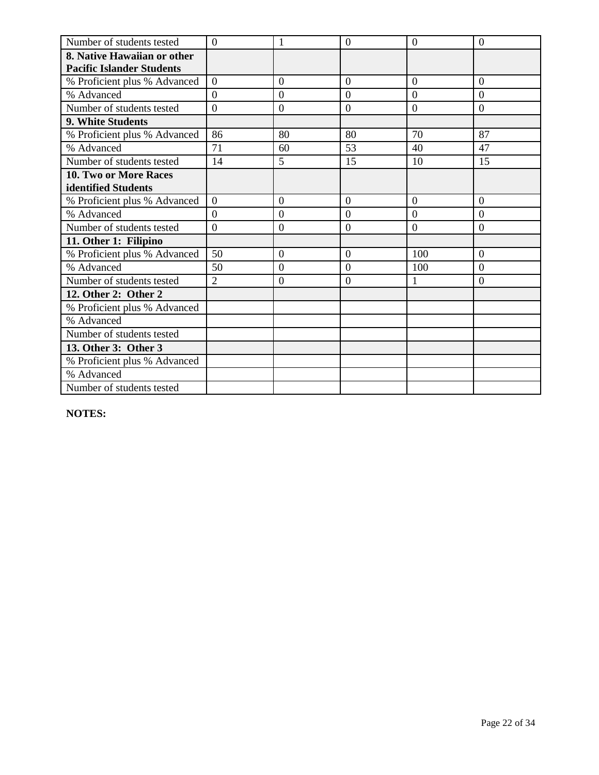| Number of students tested        | $\overline{0}$   | 1                | $\overline{0}$   | $\overline{0}$ | $\overline{0}$   |
|----------------------------------|------------------|------------------|------------------|----------------|------------------|
| 8. Native Hawaiian or other      |                  |                  |                  |                |                  |
| <b>Pacific Islander Students</b> |                  |                  |                  |                |                  |
| % Proficient plus % Advanced     | $\overline{0}$   | $\overline{0}$   | $\overline{0}$   | $\overline{0}$ | $\overline{0}$   |
| % Advanced                       | $\Omega$         | $\overline{0}$   | $\overline{0}$   | $\overline{0}$ | $\overline{0}$   |
| Number of students tested        | $\boldsymbol{0}$ | $\boldsymbol{0}$ | $\boldsymbol{0}$ | $\mathbf{0}$   | $\boldsymbol{0}$ |
| 9. White Students                |                  |                  |                  |                |                  |
| % Proficient plus % Advanced     | 86               | 80               | 80               | 70             | 87               |
| % Advanced                       | 71               | 60               | 53               | 40             | 47               |
| Number of students tested        | 14               | 5                | 15               | 10             | 15               |
| 10. Two or More Races            |                  |                  |                  |                |                  |
| identified Students              |                  |                  |                  |                |                  |
| % Proficient plus % Advanced     | $\theta$         | $\theta$         | $\Omega$         | $\theta$       | $\Omega$         |
| % Advanced                       | $\overline{0}$   | $\theta$         | $\overline{0}$   | $\theta$       | $\theta$         |
| Number of students tested        | $\overline{0}$   | $\overline{0}$   | $\overline{0}$   | $\overline{0}$ | $\overline{0}$   |
| 11. Other 1: Filipino            |                  |                  |                  |                |                  |
| % Proficient plus % Advanced     | 50               | $\overline{0}$   | $\overline{0}$   | 100            | $\overline{0}$   |
| % Advanced                       | 50               | $\overline{0}$   | $\overline{0}$   | 100            | $\Omega$         |
| Number of students tested        | $\overline{2}$   | $\overline{0}$   | $\overline{0}$   |                | $\overline{0}$   |
| 12. Other 2: Other 2             |                  |                  |                  |                |                  |
| % Proficient plus % Advanced     |                  |                  |                  |                |                  |
| % Advanced                       |                  |                  |                  |                |                  |
| Number of students tested        |                  |                  |                  |                |                  |
| 13. Other 3: Other 3             |                  |                  |                  |                |                  |
| % Proficient plus % Advanced     |                  |                  |                  |                |                  |
| % Advanced                       |                  |                  |                  |                |                  |
| Number of students tested        |                  |                  |                  |                |                  |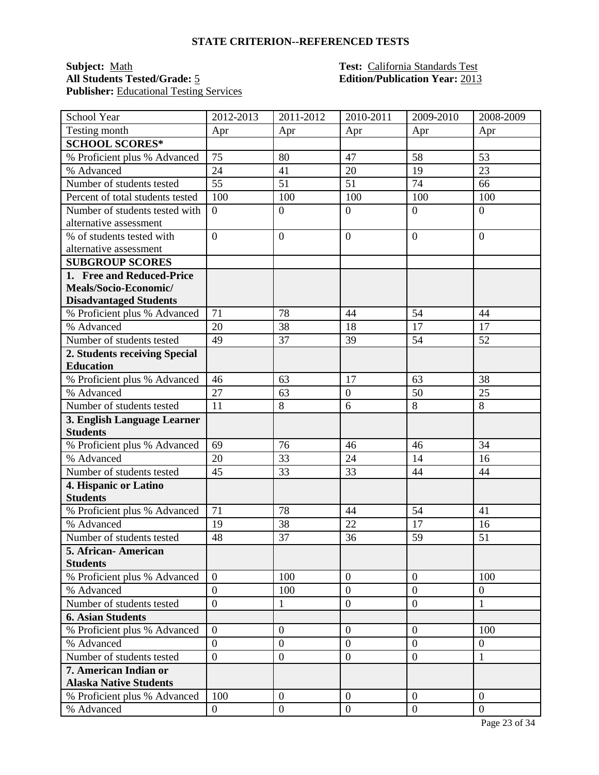### **Subject:** <u>Math **Test:** California Standards Test</u><br> **All Students Tested/Grade:** 5 **Test: California Standards Test**<br> **Edition/Publication Year:** 2013 Publisher: **Educational Testing Services**

# **All Students Tested/Grade:** 5 **Edition/Publication Year:** 2013

| School Year                      | 2012-2013        | 2011-2012        | 2010-2011      | 2009-2010        | 2008-2009        |
|----------------------------------|------------------|------------------|----------------|------------------|------------------|
| Testing month                    | Apr              | Apr              | Apr            | Apr              | Apr              |
| <b>SCHOOL SCORES*</b>            |                  |                  |                |                  |                  |
| % Proficient plus % Advanced     | 75               | 80               | 47             | 58               | 53               |
| % Advanced                       | 24               | 41               | 20             | 19               | 23               |
| Number of students tested        | 55               | 51               | 51             | 74               | 66               |
| Percent of total students tested | 100              | 100              | 100            | 100              | 100              |
| Number of students tested with   | $\overline{0}$   | $\boldsymbol{0}$ | $\overline{0}$ | $\overline{0}$   | $\overline{0}$   |
| alternative assessment           |                  |                  |                |                  |                  |
| % of students tested with        | $\overline{0}$   | $\overline{0}$   | $\mathbf{0}$   | $\overline{0}$   | $\Omega$         |
| alternative assessment           |                  |                  |                |                  |                  |
| <b>SUBGROUP SCORES</b>           |                  |                  |                |                  |                  |
| 1. Free and Reduced-Price        |                  |                  |                |                  |                  |
| Meals/Socio-Economic/            |                  |                  |                |                  |                  |
| <b>Disadvantaged Students</b>    |                  |                  |                |                  |                  |
| % Proficient plus % Advanced     | 71               | 78               | 44             | 54               | 44               |
| % Advanced                       | 20               | 38               | 18             | 17               | 17               |
| Number of students tested        | 49               | 37               | 39             | 54               | 52               |
| 2. Students receiving Special    |                  |                  |                |                  |                  |
| <b>Education</b>                 |                  |                  |                |                  |                  |
| % Proficient plus % Advanced     | 46               | 63               | 17             | 63               | 38               |
| % Advanced                       | 27               | 63               | $\overline{0}$ | 50               | 25               |
| Number of students tested        | 11               | 8                | 6              | 8                | 8                |
| 3. English Language Learner      |                  |                  |                |                  |                  |
| <b>Students</b>                  |                  |                  |                |                  |                  |
| % Proficient plus % Advanced     | 69               | 76               | 46             | 46               | 34               |
| % Advanced                       | 20               | 33               | 24             | 14               | 16               |
| Number of students tested        | 45               | 33               | 33             | 44               | 44               |
| 4. Hispanic or Latino            |                  |                  |                |                  |                  |
| <b>Students</b>                  |                  |                  |                |                  |                  |
| % Proficient plus % Advanced     | 71               | 78               | 44             | 54               | 41               |
| % Advanced                       | 19               | 38               | 22             | 17               | 16               |
| Number of students tested        | 48               | 37               | 36             | 59               | 51               |
| 5. African-American              |                  |                  |                |                  |                  |
| <b>Students</b>                  |                  |                  |                |                  |                  |
| % Proficient plus % Advanced     | $\overline{0}$   | 100              | $\overline{0}$ | $\theta$         | 100              |
| % Advanced                       | $\overline{0}$   | 100              | $\overline{0}$ | $\overline{0}$   | $\boldsymbol{0}$ |
| Number of students tested        | $\overline{0}$   | 1                | $\mathbf{0}$   | $\boldsymbol{0}$ | $\mathbf{1}$     |
| <b>6. Asian Students</b>         |                  |                  |                |                  |                  |
| % Proficient plus % Advanced     | $\boldsymbol{0}$ | $\boldsymbol{0}$ | $\mathbf{0}$   | $\overline{0}$   | 100              |
| % Advanced                       | $\overline{0}$   | $\overline{0}$   | $\overline{0}$ | $\overline{0}$   | $\boldsymbol{0}$ |
| Number of students tested        | $\overline{0}$   | $\boldsymbol{0}$ | $\mathbf{0}$   | $\overline{0}$   | 1                |
| 7. American Indian or            |                  |                  |                |                  |                  |
| <b>Alaska Native Students</b>    |                  |                  |                |                  |                  |
| % Proficient plus % Advanced     | 100              | $\overline{0}$   | $\overline{0}$ | $\theta$         | $\overline{0}$   |
| % Advanced                       | $\boldsymbol{0}$ | $\boldsymbol{0}$ | $\mathbf{0}$   | $\boldsymbol{0}$ | $\overline{0}$   |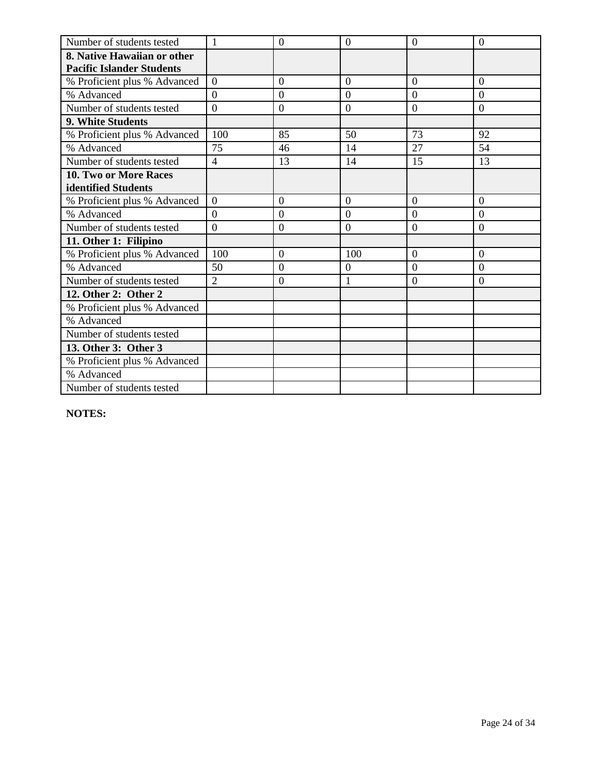| Number of students tested        | $\mathbf{1}$     | $\theta$       | $\overline{0}$   | $\overline{0}$ | $\overline{0}$   |
|----------------------------------|------------------|----------------|------------------|----------------|------------------|
| 8. Native Hawaiian or other      |                  |                |                  |                |                  |
| <b>Pacific Islander Students</b> |                  |                |                  |                |                  |
| % Proficient plus % Advanced     | $\overline{0}$   | $\overline{0}$ | $\overline{0}$   | $\overline{0}$ | $\overline{0}$   |
| % Advanced                       | $\Omega$         | $\overline{0}$ | $\overline{0}$   | $\overline{0}$ | $\overline{0}$   |
| Number of students tested        | $\boldsymbol{0}$ | $\mathbf{0}$   | $\boldsymbol{0}$ | $\mathbf{0}$   | $\boldsymbol{0}$ |
| 9. White Students                |                  |                |                  |                |                  |
| % Proficient plus % Advanced     | 100              | 85             | 50               | 73             | 92               |
| % Advanced                       | 75               | 46             | 14               | 27             | 54               |
| Number of students tested        | $\overline{4}$   | 13             | 14               | 15             | 13               |
| 10. Two or More Races            |                  |                |                  |                |                  |
| identified Students              |                  |                |                  |                |                  |
| % Proficient plus % Advanced     | $\theta$         | $\theta$       | $\Omega$         | $\theta$       | $\Omega$         |
| % Advanced                       | $\overline{0}$   | $\theta$       | $\overline{0}$   | $\theta$       | $\theta$         |
| Number of students tested        | $\overline{0}$   | $\overline{0}$ | $\overline{0}$   | $\overline{0}$ | $\overline{0}$   |
| 11. Other 1: Filipino            |                  |                |                  |                |                  |
| % Proficient plus % Advanced     | 100              | $\overline{0}$ | 100              | $\overline{0}$ | $\overline{0}$   |
| % Advanced                       | 50               | $\overline{0}$ | 0                | $\theta$       | $\Omega$         |
| Number of students tested        | $\overline{2}$   | $\overline{0}$ | $\mathbf{1}$     | $\overline{0}$ | $\overline{0}$   |
| 12. Other 2: Other 2             |                  |                |                  |                |                  |
| % Proficient plus % Advanced     |                  |                |                  |                |                  |
| % Advanced                       |                  |                |                  |                |                  |
| Number of students tested        |                  |                |                  |                |                  |
| 13. Other 3: Other 3             |                  |                |                  |                |                  |
| % Proficient plus % Advanced     |                  |                |                  |                |                  |
| % Advanced                       |                  |                |                  |                |                  |
| Number of students tested        |                  |                |                  |                |                  |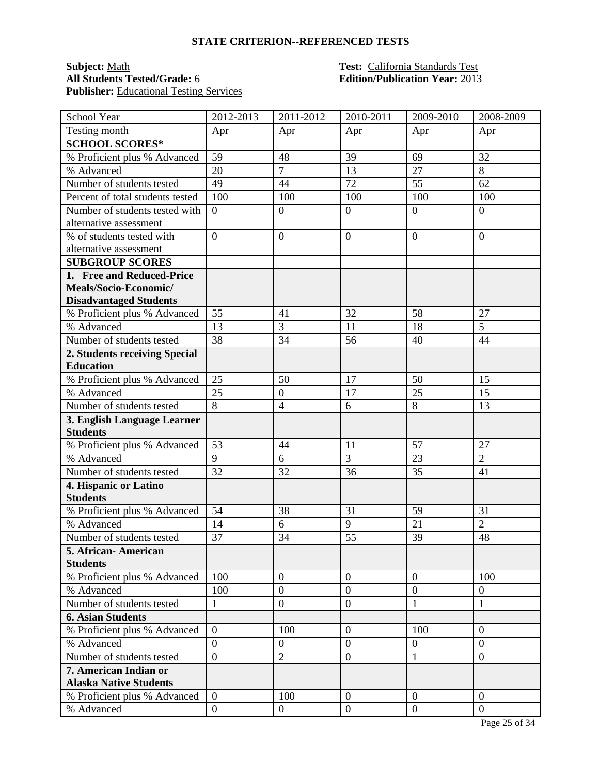### **Subject:** <u>Math **Test:** California Standards Test</u><br> **All Students Tested/Grade:** <u>6</u> **Test: California Standards Test**<br> **Edition/Publication Year:** 2013 Publisher: **Educational Testing Services**

# **All Students Tested/Grade:** 6 **Edition/Publication Year:** 2013

| School Year                      | 2012-2013        | 2011-2012        | 2010-2011        | 2009-2010        | 2008-2009        |
|----------------------------------|------------------|------------------|------------------|------------------|------------------|
| Testing month                    | Apr              | Apr              | Apr              | Apr              | Apr              |
| <b>SCHOOL SCORES*</b>            |                  |                  |                  |                  |                  |
| % Proficient plus % Advanced     | 59               | 48               | 39               | 69               | 32               |
| % Advanced                       | 20               | $\tau$           | 13               | 27               | 8                |
| Number of students tested        | 49               | 44               | 72               | 55               | 62               |
| Percent of total students tested | 100              | 100              | 100              | 100              | 100              |
| Number of students tested with   | $\boldsymbol{0}$ | $\boldsymbol{0}$ | $\mathbf{0}$     | $\overline{0}$   | $\boldsymbol{0}$ |
| alternative assessment           |                  |                  |                  |                  |                  |
| % of students tested with        | $\overline{0}$   | $\overline{0}$   | $\overline{0}$   | $\overline{0}$   | $\overline{0}$   |
| alternative assessment           |                  |                  |                  |                  |                  |
| <b>SUBGROUP SCORES</b>           |                  |                  |                  |                  |                  |
| 1. Free and Reduced-Price        |                  |                  |                  |                  |                  |
| Meals/Socio-Economic/            |                  |                  |                  |                  |                  |
| <b>Disadvantaged Students</b>    |                  |                  |                  |                  |                  |
| % Proficient plus % Advanced     | 55               | 41               | 32               | 58               | 27               |
| % Advanced                       | 13               | 3                | 11               | 18               | $\overline{5}$   |
| Number of students tested        | 38               | 34               | 56               | 40               | 44               |
| 2. Students receiving Special    |                  |                  |                  |                  |                  |
| <b>Education</b>                 |                  |                  |                  |                  |                  |
| % Proficient plus % Advanced     | 25               | 50               | 17               | 50               | 15               |
| % Advanced                       | 25               | $\overline{0}$   | 17               | 25               | 15               |
| Number of students tested        | 8                | $\overline{4}$   | 6                | 8                | 13               |
| 3. English Language Learner      |                  |                  |                  |                  |                  |
| <b>Students</b>                  |                  |                  |                  |                  |                  |
| % Proficient plus % Advanced     | 53               | 44               | 11               | 57               | 27               |
| % Advanced                       | 9                | 6                | 3                | 23               | $\overline{2}$   |
| Number of students tested        | 32               | 32               | 36               | 35               | 41               |
| 4. Hispanic or Latino            |                  |                  |                  |                  |                  |
| <b>Students</b>                  |                  |                  |                  |                  |                  |
| % Proficient plus % Advanced     | 54               | 38               | 31               | 59               | 31               |
| % Advanced                       | 14               | 6                | 9                | 21               | $\overline{2}$   |
| Number of students tested        | 37               | 34               | 55               | 39               | 48               |
| 5. African- American             |                  |                  |                  |                  |                  |
| <b>Students</b>                  |                  |                  |                  |                  |                  |
| % Proficient plus % Advanced     | 100              | $\boldsymbol{0}$ | $\mathbf{0}$     | $\overline{0}$   | 100              |
| % Advanced                       | 100              | $\overline{0}$   | $\overline{0}$   | $\overline{0}$   | $\overline{0}$   |
| Number of students tested        | $\mathbf{1}$     | $\boldsymbol{0}$ | $\mathbf{0}$     | 1                | 1                |
| <b>6. Asian Students</b>         |                  |                  |                  |                  |                  |
| % Proficient plus % Advanced     | $\boldsymbol{0}$ | 100              | $\boldsymbol{0}$ | 100              | $\theta$         |
| % Advanced                       | $\overline{0}$   | $\boldsymbol{0}$ | $\overline{0}$   | $\overline{0}$   | $\overline{0}$   |
| Number of students tested        | $\overline{0}$   | $\overline{2}$   | $\boldsymbol{0}$ | $\mathbf{1}$     | $\boldsymbol{0}$ |
| 7. American Indian or            |                  |                  |                  |                  |                  |
| <b>Alaska Native Students</b>    |                  |                  |                  |                  |                  |
| % Proficient plus % Advanced     | $\overline{0}$   | 100              | $\mathbf{0}$     | $\overline{0}$   | $\overline{0}$   |
| % Advanced                       | $\boldsymbol{0}$ | $\boldsymbol{0}$ | $\boldsymbol{0}$ | $\boldsymbol{0}$ | $\overline{0}$   |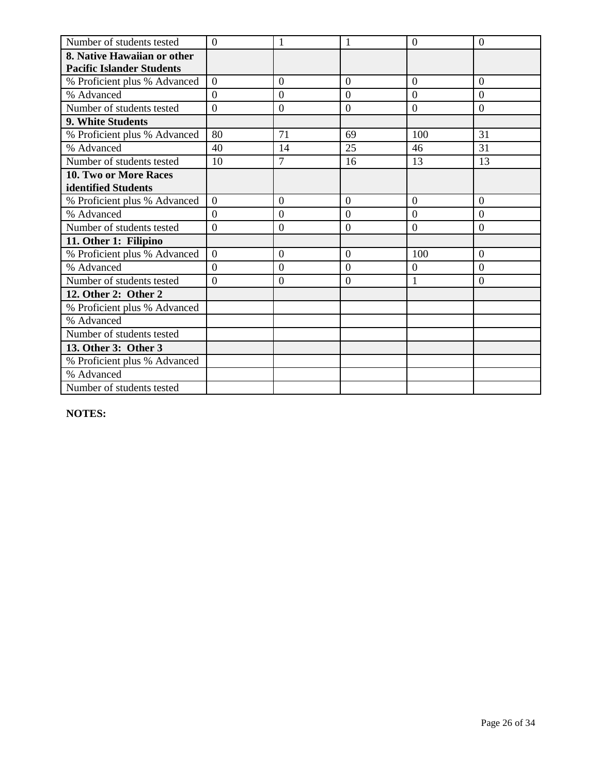| Number of students tested        | $\overline{0}$   | 1                |                  | $\overline{0}$ | $\overline{0}$   |
|----------------------------------|------------------|------------------|------------------|----------------|------------------|
| 8. Native Hawaiian or other      |                  |                  |                  |                |                  |
| <b>Pacific Islander Students</b> |                  |                  |                  |                |                  |
| % Proficient plus % Advanced     | $\overline{0}$   | $\overline{0}$   | $\overline{0}$   | $\overline{0}$ | $\overline{0}$   |
| % Advanced                       | $\Omega$         | $\overline{0}$   | $\overline{0}$   | $\overline{0}$ | $\Omega$         |
| Number of students tested        | $\boldsymbol{0}$ | $\boldsymbol{0}$ | $\boldsymbol{0}$ | $\mathbf{0}$   | $\boldsymbol{0}$ |
| 9. White Students                |                  |                  |                  |                |                  |
| % Proficient plus % Advanced     | 80               | 71               | 69               | 100            | 31               |
| % Advanced                       | 40               | 14               | 25               | 46             | 31               |
| Number of students tested        | 10               | 7                | 16               | 13             | 13               |
| 10. Two or More Races            |                  |                  |                  |                |                  |
| identified Students              |                  |                  |                  |                |                  |
| % Proficient plus % Advanced     | $\theta$         | $\theta$         | $\Omega$         | $\theta$       | $\Omega$         |
| % Advanced                       | $\overline{0}$   | $\theta$         | $\overline{0}$   | $\theta$       | $\theta$         |
| Number of students tested        | $\overline{0}$   | $\overline{0}$   | $\overline{0}$   | $\overline{0}$ | $\overline{0}$   |
| 11. Other 1: Filipino            |                  |                  |                  |                |                  |
| % Proficient plus % Advanced     | $\overline{0}$   | $\overline{0}$   | $\overline{0}$   | 100            | $\overline{0}$   |
| % Advanced                       | $\theta$         | $\overline{0}$   | $\overline{0}$   | $\overline{0}$ | $\Omega$         |
| Number of students tested        | $\overline{0}$   | $\overline{0}$   | $\overline{0}$   | 1              | $\overline{0}$   |
| 12. Other 2: Other 2             |                  |                  |                  |                |                  |
| % Proficient plus % Advanced     |                  |                  |                  |                |                  |
| % Advanced                       |                  |                  |                  |                |                  |
| Number of students tested        |                  |                  |                  |                |                  |
| 13. Other 3: Other 3             |                  |                  |                  |                |                  |
| % Proficient plus % Advanced     |                  |                  |                  |                |                  |
| % Advanced                       |                  |                  |                  |                |                  |
| Number of students tested        |                  |                  |                  |                |                  |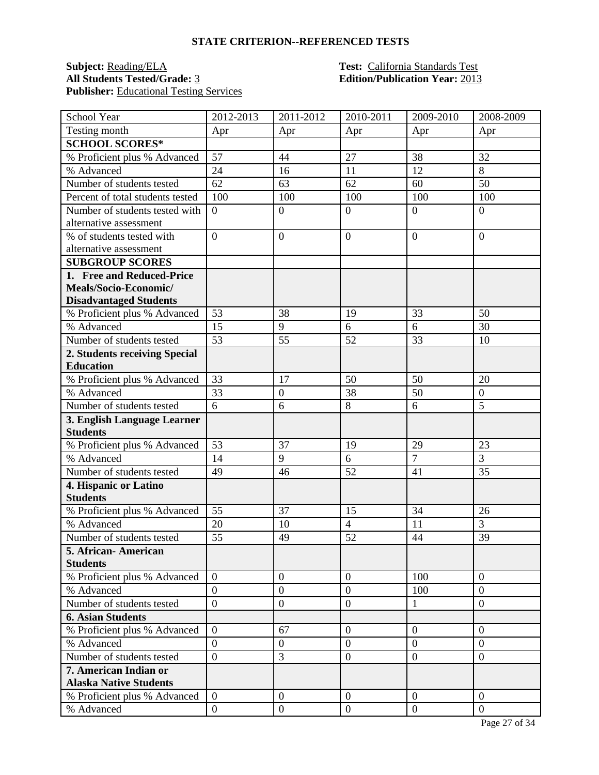## **Subject:** <u>Reading/ELA</u> **Test:** <u>California Standards Test</u><br>All Students Tested/Grade: 3 **Edition/Publication Year:** 2013 **Publisher:** Educational Testing Services

## **Edition/Publication Year: 2013**

| School Year                      | 2012-2013        | 2011-2012        | 2010-2011      | 2009-2010        | 2008-2009        |
|----------------------------------|------------------|------------------|----------------|------------------|------------------|
| Testing month                    | Apr              | Apr              | Apr            | Apr              | Apr              |
| <b>SCHOOL SCORES*</b>            |                  |                  |                |                  |                  |
| % Proficient plus % Advanced     | 57               | 44               | 27             | 38               | 32               |
| % Advanced                       | 24               | 16               | 11             | 12               | 8                |
| Number of students tested        | 62               | 63               | 62             | 60               | 50               |
| Percent of total students tested | 100              | 100              | 100            | 100              | 100              |
| Number of students tested with   | $\overline{0}$   | $\boldsymbol{0}$ | $\overline{0}$ | $\overline{0}$   | $\overline{0}$   |
| alternative assessment           |                  |                  |                |                  |                  |
| % of students tested with        | $\overline{0}$   | $\overline{0}$   | $\mathbf{0}$   | $\overline{0}$   | $\Omega$         |
| alternative assessment           |                  |                  |                |                  |                  |
| <b>SUBGROUP SCORES</b>           |                  |                  |                |                  |                  |
| 1. Free and Reduced-Price        |                  |                  |                |                  |                  |
| Meals/Socio-Economic/            |                  |                  |                |                  |                  |
| <b>Disadvantaged Students</b>    |                  |                  |                |                  |                  |
| % Proficient plus % Advanced     | 53               | 38               | 19             | 33               | 50               |
| % Advanced                       | 15               | 9                | 6              | 6                | 30               |
| Number of students tested        | 53               | 55               | 52             | 33               | 10               |
| 2. Students receiving Special    |                  |                  |                |                  |                  |
| <b>Education</b>                 |                  |                  |                |                  |                  |
| % Proficient plus % Advanced     | 33               | 17               | 50             | 50               | 20               |
| % Advanced                       | 33               | $\boldsymbol{0}$ | 38             | 50               | $\boldsymbol{0}$ |
| Number of students tested        | 6                | 6                | 8              | 6                | 5                |
| 3. English Language Learner      |                  |                  |                |                  |                  |
| <b>Students</b>                  |                  |                  |                |                  |                  |
| % Proficient plus % Advanced     | 53               | 37               | 19             | 29               | 23               |
| % Advanced                       | 14               | 9                | 6              | $\overline{7}$   | 3                |
| Number of students tested        | 49               | 46               | 52             | 41               | 35               |
| 4. Hispanic or Latino            |                  |                  |                |                  |                  |
| <b>Students</b>                  |                  |                  |                |                  |                  |
| % Proficient plus % Advanced     | 55               | 37               | 15             | 34               | 26               |
| % Advanced                       | 20               | 10               | $\overline{4}$ | 11               | 3                |
| Number of students tested        | 55               | 49               | 52             | 44               | 39               |
| 5. African-American              |                  |                  |                |                  |                  |
| <b>Students</b>                  |                  |                  |                |                  |                  |
| % Proficient plus % Advanced     | $\overline{0}$   | $\theta$         | $\overline{0}$ | 100              | $\overline{0}$   |
| % Advanced                       | $\overline{0}$   | $\boldsymbol{0}$ | $\overline{0}$ | 100              | $\overline{0}$   |
| Number of students tested        | $\mathbf{0}$     | $\overline{0}$   | $\mathbf{0}$   | $\mathbf{1}$     | $\overline{0}$   |
| <b>6. Asian Students</b>         |                  |                  |                |                  |                  |
| % Proficient plus % Advanced     | $\boldsymbol{0}$ | 67               | $\mathbf{0}$   | $\overline{0}$   | $\overline{0}$   |
| % Advanced                       | $\overline{0}$   | $\overline{0}$   | $\overline{0}$ | $\overline{0}$   | $\overline{0}$   |
| Number of students tested        | $\boldsymbol{0}$ | 3                | $\mathbf{0}$   | $\overline{0}$   | $\boldsymbol{0}$ |
| 7. American Indian or            |                  |                  |                |                  |                  |
| <b>Alaska Native Students</b>    |                  |                  |                |                  |                  |
| % Proficient plus % Advanced     | $\overline{0}$   | $\overline{0}$   | $\overline{0}$ | $\theta$         | $\overline{0}$   |
| % Advanced                       | $\boldsymbol{0}$ | $\boldsymbol{0}$ | $\mathbf{0}$   | $\boldsymbol{0}$ | $\overline{0}$   |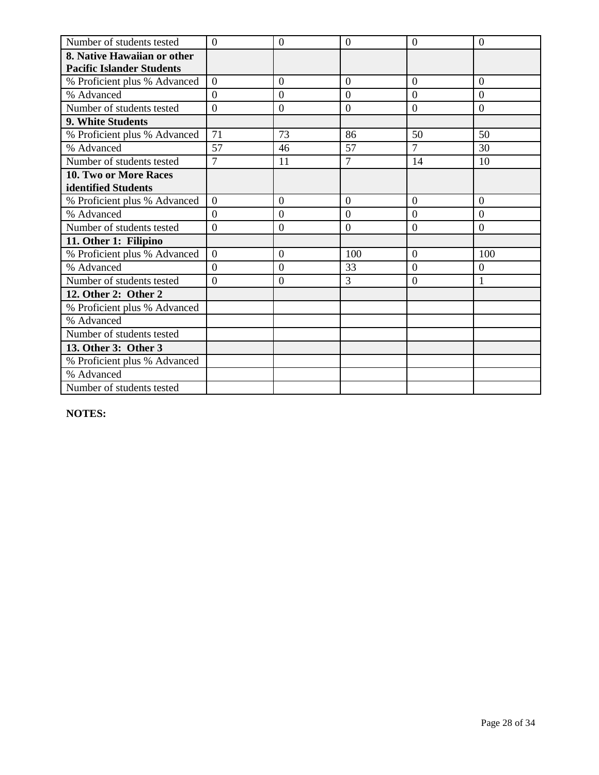| Number of students tested        | $\Omega$       | $\overline{0}$   | $\overline{0}$ | $\Omega$       | $\theta$       |
|----------------------------------|----------------|------------------|----------------|----------------|----------------|
| 8. Native Hawaiian or other      |                |                  |                |                |                |
| <b>Pacific Islander Students</b> |                |                  |                |                |                |
| % Proficient plus % Advanced     | $\overline{0}$ | $\mathbf{0}$     | $\overline{0}$ | $\overline{0}$ | $\overline{0}$ |
| % Advanced                       | $\theta$       | $\overline{0}$   | $\overline{0}$ | $\overline{0}$ | $\Omega$       |
| Number of students tested        | $\overline{0}$ | $\overline{0}$   | $\overline{0}$ | $\overline{0}$ | $\overline{0}$ |
| 9. White Students                |                |                  |                |                |                |
| % Proficient plus % Advanced     | 71             | 73               | 86             | 50             | 50             |
| % Advanced                       | 57             | 46               | 57             | $\overline{7}$ | 30             |
| Number of students tested        | $\overline{7}$ | 11               | $\overline{7}$ | 14             | 10             |
| 10. Two or More Races            |                |                  |                |                |                |
| identified Students              |                |                  |                |                |                |
| % Proficient plus % Advanced     | $\overline{0}$ | $\overline{0}$   | $\overline{0}$ | $\overline{0}$ | $\theta$       |
| % Advanced                       | $\overline{0}$ | $\mathbf{0}$     | $\overline{0}$ | $\theta$       | $\theta$       |
| Number of students tested        | $\overline{0}$ | $\overline{0}$   | $\overline{0}$ | $\overline{0}$ | $\overline{0}$ |
| 11. Other 1: Filipino            |                |                  |                |                |                |
| % Proficient plus % Advanced     | $\overline{0}$ | $\overline{0}$   | 100            | $\overline{0}$ | 100            |
| % Advanced                       | $\overline{0}$ | $\boldsymbol{0}$ | 33             | $\overline{0}$ | 0              |
| Number of students tested        | $\overline{0}$ | $\overline{0}$   | 3              | $\overline{0}$ | 1              |
| 12. Other 2: Other 2             |                |                  |                |                |                |
| % Proficient plus % Advanced     |                |                  |                |                |                |
| % Advanced                       |                |                  |                |                |                |
| Number of students tested        |                |                  |                |                |                |
| 13. Other 3: Other 3             |                |                  |                |                |                |
| % Proficient plus % Advanced     |                |                  |                |                |                |
| % Advanced                       |                |                  |                |                |                |
| Number of students tested        |                |                  |                |                |                |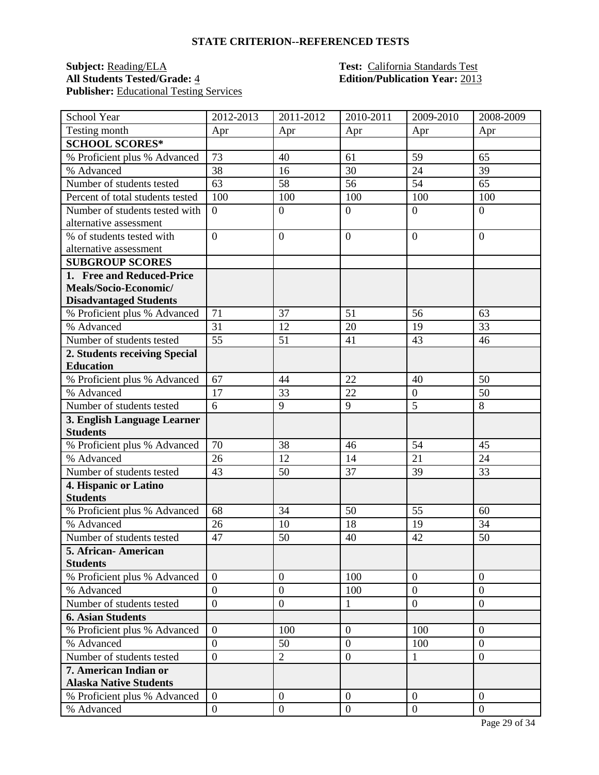## **Subject:** <u>Reading/ELA</u> **Test:** California Standards Test<br> **All Students Tested/Grade:** 4 **Edition/Publication Year:** 2013 **Publisher:** Educational Testing Services

## **Edition/Publication Year: 2013**

| School Year                      | 2012-2013        | $2011 - 2012$    | 2010-2011        | 2009-2010      | 2008-2009        |
|----------------------------------|------------------|------------------|------------------|----------------|------------------|
| Testing month                    | Apr              | Apr              | Apr              | Apr            | Apr              |
| <b>SCHOOL SCORES*</b>            |                  |                  |                  |                |                  |
| % Proficient plus % Advanced     | 73               | 40               | 61               | 59             | 65               |
| % Advanced                       | 38               | 16               | 30               | 24             | 39               |
| Number of students tested        | 63               | 58               | 56               | 54             | 65               |
| Percent of total students tested | 100              | 100              | 100              | 100            | 100              |
| Number of students tested with   | $\boldsymbol{0}$ | $\boldsymbol{0}$ | $\mathbf{0}$     | $\overline{0}$ | $\overline{0}$   |
| alternative assessment           |                  |                  |                  |                |                  |
| % of students tested with        | $\overline{0}$   | $\overline{0}$   | $\overline{0}$   | $\overline{0}$ | $\overline{0}$   |
| alternative assessment           |                  |                  |                  |                |                  |
| <b>SUBGROUP SCORES</b>           |                  |                  |                  |                |                  |
| 1. Free and Reduced-Price        |                  |                  |                  |                |                  |
| Meals/Socio-Economic/            |                  |                  |                  |                |                  |
| <b>Disadvantaged Students</b>    |                  |                  |                  |                |                  |
| % Proficient plus % Advanced     | 71               | 37               | 51               | 56             | 63               |
| % Advanced                       | 31               | 12               | 20               | 19             | 33               |
| Number of students tested        | 55               | 51               | 41               | 43             | 46               |
| 2. Students receiving Special    |                  |                  |                  |                |                  |
| <b>Education</b>                 |                  |                  |                  |                |                  |
| % Proficient plus % Advanced     | 67               | 44               | 22               | 40             | 50               |
| % Advanced                       | 17               | 33               | 22               | $\mathbf{0}$   | 50               |
| Number of students tested        | 6                | 9                | 9                | $\overline{5}$ | 8                |
| 3. English Language Learner      |                  |                  |                  |                |                  |
| <b>Students</b>                  |                  |                  |                  |                |                  |
| % Proficient plus % Advanced     | 70               | 38               | 46               | 54             | 45               |
| % Advanced                       | 26               | 12               | 14               | 21             | 24               |
| Number of students tested        | 43               | 50               | 37               | 39             | 33               |
| 4. Hispanic or Latino            |                  |                  |                  |                |                  |
| <b>Students</b>                  |                  |                  |                  |                |                  |
| % Proficient plus % Advanced     | 68               | 34               | 50               | 55             | 60               |
| % Advanced                       | 26               | 10               | 18               | 19             | 34               |
| Number of students tested        | 47               | 50               | 40               | 42             | 50               |
| 5. African- American             |                  |                  |                  |                |                  |
| <b>Students</b>                  |                  |                  |                  |                |                  |
| % Proficient plus % Advanced     | $\overline{0}$   | $\boldsymbol{0}$ | 100              | $\overline{0}$ | $\boldsymbol{0}$ |
| % Advanced                       | $\overline{0}$   | $\overline{0}$   | 100              | $\overline{0}$ | $\overline{0}$   |
| Number of students tested        | $\overline{0}$   | $\boldsymbol{0}$ | $\mathbf{1}$     | $\overline{0}$ | $\overline{0}$   |
| <b>6. Asian Students</b>         |                  |                  |                  |                |                  |
| % Proficient plus % Advanced     | $\overline{0}$   | 100              | $\boldsymbol{0}$ | 100            | $\Omega$         |
| % Advanced                       | $\overline{0}$   | 50               | $\overline{0}$   | 100            | $\overline{0}$   |
| Number of students tested        | $\overline{0}$   | $\overline{2}$   | $\boldsymbol{0}$ | $\mathbf{1}$   | $\boldsymbol{0}$ |
| 7. American Indian or            |                  |                  |                  |                |                  |
| <b>Alaska Native Students</b>    |                  |                  |                  |                |                  |
| % Proficient plus % Advanced     | $\overline{0}$   | $\boldsymbol{0}$ | $\mathbf{0}$     | $\overline{0}$ | $\overline{0}$   |
| % Advanced                       | $\boldsymbol{0}$ | $\boldsymbol{0}$ | $\mathbf{0}$     | $\overline{0}$ | $\mathbf{0}$     |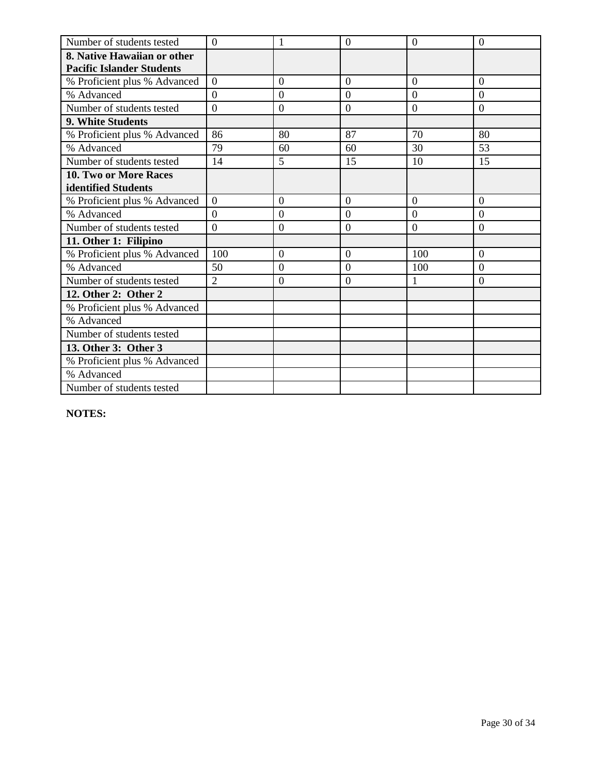| Number of students tested        | $\Omega$       | 1                | $\overline{0}$ | $\Omega$       | $\theta$       |
|----------------------------------|----------------|------------------|----------------|----------------|----------------|
| 8. Native Hawaiian or other      |                |                  |                |                |                |
| <b>Pacific Islander Students</b> |                |                  |                |                |                |
| % Proficient plus % Advanced     | $\overline{0}$ | $\mathbf{0}$     | $\overline{0}$ | $\overline{0}$ | $\overline{0}$ |
| % Advanced                       | $\theta$       | $\overline{0}$   | $\overline{0}$ | $\overline{0}$ | $\Omega$       |
| Number of students tested        | $\overline{0}$ | $\overline{0}$   | $\overline{0}$ | $\overline{0}$ | $\overline{0}$ |
| 9. White Students                |                |                  |                |                |                |
| % Proficient plus % Advanced     | 86             | 80               | 87             | 70             | 80             |
| % Advanced                       | 79             | 60               | 60             | 30             | 53             |
| Number of students tested        | 14             | 5                | 15             | 10             | 15             |
| 10. Two or More Races            |                |                  |                |                |                |
| identified Students              |                |                  |                |                |                |
| % Proficient plus % Advanced     | $\overline{0}$ | $\overline{0}$   | $\overline{0}$ | $\overline{0}$ | $\theta$       |
| % Advanced                       | $\overline{0}$ | $\mathbf{0}$     | $\overline{0}$ | $\theta$       | $\theta$       |
| Number of students tested        | $\overline{0}$ | $\overline{0}$   | $\overline{0}$ | $\overline{0}$ | $\overline{0}$ |
| 11. Other 1: Filipino            |                |                  |                |                |                |
| % Proficient plus % Advanced     | 100            | $\overline{0}$   | $\overline{0}$ | 100            | $\Omega$       |
| % Advanced                       | 50             | $\boldsymbol{0}$ | $\overline{0}$ | 100            | $\overline{0}$ |
| Number of students tested        | $\overline{2}$ | $\overline{0}$   | $\overline{0}$ | 1              | $\overline{0}$ |
| 12. Other 2: Other 2             |                |                  |                |                |                |
| % Proficient plus % Advanced     |                |                  |                |                |                |
| % Advanced                       |                |                  |                |                |                |
| Number of students tested        |                |                  |                |                |                |
| 13. Other 3: Other 3             |                |                  |                |                |                |
| % Proficient plus % Advanced     |                |                  |                |                |                |
| % Advanced                       |                |                  |                |                |                |
| Number of students tested        |                |                  |                |                |                |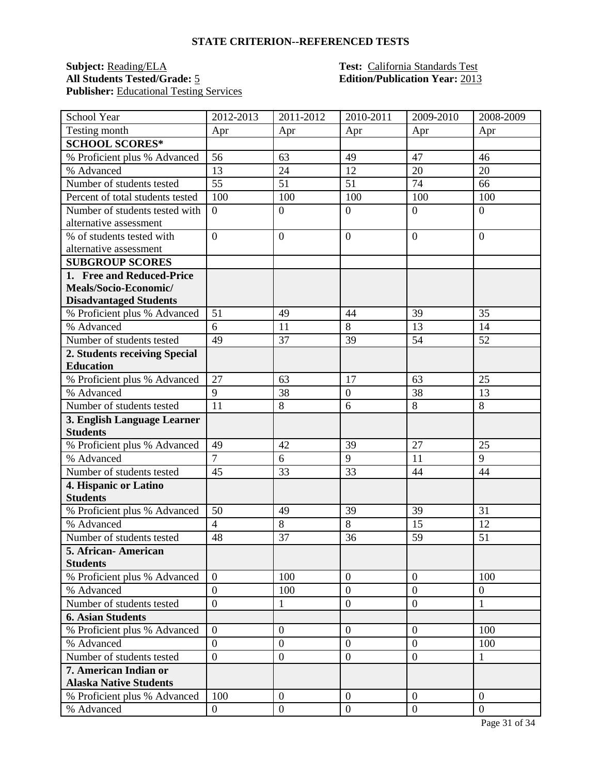## **Subject:** <u>Reading/ELA</u> **Test:** California Standards Test<br> **All Students Tested/Grade:** 5 **California Standards Test**<br> **Reading Publication Year:** 2013 Publisher: **Educational Testing Services**

## **Edition/Publication Year: 2013**

| School Year                      | 2012-2013        | 2011-2012        | 2010-2011        | 2009-2010        | 2008-2009        |
|----------------------------------|------------------|------------------|------------------|------------------|------------------|
| Testing month                    | Apr              | Apr              | Apr              | Apr              | Apr              |
| <b>SCHOOL SCORES*</b>            |                  |                  |                  |                  |                  |
| % Proficient plus % Advanced     | 56               | 63               | 49               | 47               | 46               |
| % Advanced                       | 13               | 24               | 12               | 20               | 20               |
| Number of students tested        | 55               | 51               | 51               | 74               | 66               |
| Percent of total students tested | 100              | 100              | 100              | 100              | 100              |
| Number of students tested with   | $\boldsymbol{0}$ | $\boldsymbol{0}$ | $\mathbf{0}$     | $\overline{0}$   | $\boldsymbol{0}$ |
| alternative assessment           |                  |                  |                  |                  |                  |
| % of students tested with        | $\overline{0}$   | $\overline{0}$   | $\overline{0}$   | $\overline{0}$   | $\overline{0}$   |
| alternative assessment           |                  |                  |                  |                  |                  |
| <b>SUBGROUP SCORES</b>           |                  |                  |                  |                  |                  |
| 1. Free and Reduced-Price        |                  |                  |                  |                  |                  |
| Meals/Socio-Economic/            |                  |                  |                  |                  |                  |
| <b>Disadvantaged Students</b>    |                  |                  |                  |                  |                  |
| % Proficient plus % Advanced     | 51               | 49               | 44               | 39               | 35               |
| % Advanced                       | 6                | 11               | 8                | 13               | 14               |
| Number of students tested        | 49               | 37               | 39               | 54               | 52               |
| 2. Students receiving Special    |                  |                  |                  |                  |                  |
| <b>Education</b>                 |                  |                  |                  |                  |                  |
| % Proficient plus % Advanced     | 27               | 63               | 17               | 63               | 25               |
| % Advanced                       | $\overline{9}$   | 38               | $\mathbf{0}$     | 38               | 13               |
| Number of students tested        | 11               | 8                | 6                | 8                | 8                |
| 3. English Language Learner      |                  |                  |                  |                  |                  |
| <b>Students</b>                  |                  |                  |                  |                  |                  |
| % Proficient plus % Advanced     | 49               | 42               | 39               | 27               | 25               |
| % Advanced                       | $\overline{7}$   | 6                | 9                | 11               | 9                |
| Number of students tested        | 45               | 33               | 33               | 44               | 44               |
| 4. Hispanic or Latino            |                  |                  |                  |                  |                  |
| <b>Students</b>                  |                  |                  |                  |                  |                  |
| % Proficient plus % Advanced     | 50               | 49               | 39               | 39               | 31               |
| % Advanced                       | $\overline{4}$   | 8                | 8                | 15               | 12               |
| Number of students tested        | 48               | 37               | 36               | 59               | 51               |
| 5. African- American             |                  |                  |                  |                  |                  |
| <b>Students</b>                  |                  |                  |                  |                  |                  |
| % Proficient plus % Advanced     | $\overline{0}$   | 100              | $\mathbf{0}$     | $\overline{0}$   | 100              |
| % Advanced                       | $\overline{0}$   | 100              | $\overline{0}$   | $\overline{0}$   | $\boldsymbol{0}$ |
| Number of students tested        | $\overline{0}$   | 1                | $\mathbf{0}$     | $\overline{0}$   | 1                |
| <b>6. Asian Students</b>         |                  |                  |                  |                  |                  |
| % Proficient plus % Advanced     | $\boldsymbol{0}$ | $\overline{0}$   | $\boldsymbol{0}$ | $\overline{0}$   | 100              |
| % Advanced                       | $\overline{0}$   | $\boldsymbol{0}$ | $\overline{0}$   | $\overline{0}$   | 100              |
| Number of students tested        | $\overline{0}$   | $\boldsymbol{0}$ | $\boldsymbol{0}$ | $\overline{0}$   | $\mathbf{1}$     |
| 7. American Indian or            |                  |                  |                  |                  |                  |
| <b>Alaska Native Students</b>    |                  |                  |                  |                  |                  |
| % Proficient plus % Advanced     | 100              | $\boldsymbol{0}$ | $\mathbf{0}$     | $\overline{0}$   | $\overline{0}$   |
| % Advanced                       | $\boldsymbol{0}$ | $\boldsymbol{0}$ | $\boldsymbol{0}$ | $\boldsymbol{0}$ | $\overline{0}$   |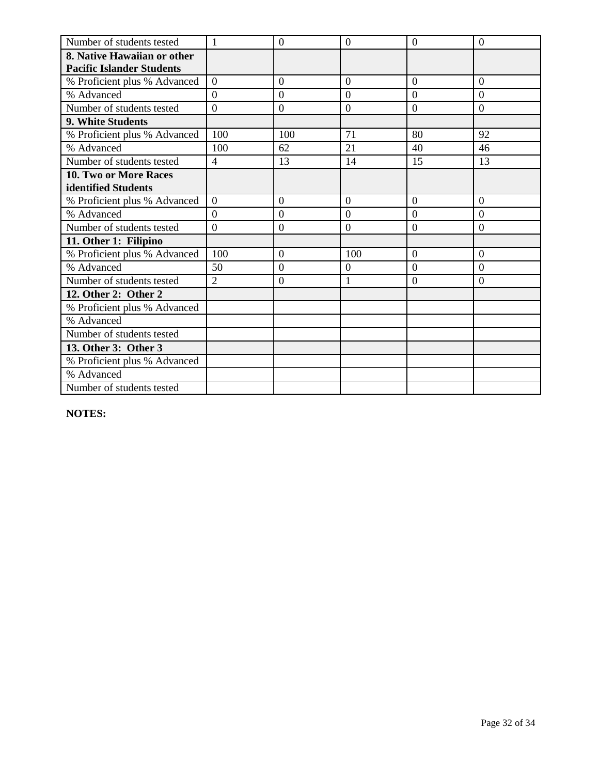| Number of students tested        | $\mathbf{1}$     | $\theta$       | $\overline{0}$   | $\overline{0}$ | $\overline{0}$   |
|----------------------------------|------------------|----------------|------------------|----------------|------------------|
| 8. Native Hawaiian or other      |                  |                |                  |                |                  |
| <b>Pacific Islander Students</b> |                  |                |                  |                |                  |
| % Proficient plus % Advanced     | $\overline{0}$   | $\overline{0}$ | $\overline{0}$   | $\overline{0}$ | $\overline{0}$   |
| % Advanced                       | $\Omega$         | $\overline{0}$ | $\overline{0}$   | $\overline{0}$ | $\overline{0}$   |
| Number of students tested        | $\boldsymbol{0}$ | $\mathbf{0}$   | $\boldsymbol{0}$ | $\mathbf{0}$   | $\boldsymbol{0}$ |
| 9. White Students                |                  |                |                  |                |                  |
| % Proficient plus % Advanced     | 100              | 100            | 71               | 80             | 92               |
| % Advanced                       | 100              | 62             | 21               | 40             | 46               |
| Number of students tested        | $\overline{4}$   | 13             | 14               | 15             | 13               |
| 10. Two or More Races            |                  |                |                  |                |                  |
| identified Students              |                  |                |                  |                |                  |
| % Proficient plus % Advanced     | $\theta$         | $\theta$       | $\Omega$         | $\theta$       | $\Omega$         |
| % Advanced                       | $\overline{0}$   | $\theta$       | $\overline{0}$   | $\theta$       | $\theta$         |
| Number of students tested        | $\overline{0}$   | $\overline{0}$ | $\overline{0}$   | $\overline{0}$ | $\overline{0}$   |
| 11. Other 1: Filipino            |                  |                |                  |                |                  |
| % Proficient plus % Advanced     | 100              | $\overline{0}$ | 100              | $\overline{0}$ | $\overline{0}$   |
| % Advanced                       | 50               | $\overline{0}$ | 0                | $\theta$       | $\Omega$         |
| Number of students tested        | $\overline{2}$   | $\overline{0}$ | $\mathbf{1}$     | $\overline{0}$ | $\overline{0}$   |
| 12. Other 2: Other 2             |                  |                |                  |                |                  |
| % Proficient plus % Advanced     |                  |                |                  |                |                  |
| % Advanced                       |                  |                |                  |                |                  |
| Number of students tested        |                  |                |                  |                |                  |
| 13. Other 3: Other 3             |                  |                |                  |                |                  |
| % Proficient plus % Advanced     |                  |                |                  |                |                  |
| % Advanced                       |                  |                |                  |                |                  |
| Number of students tested        |                  |                |                  |                |                  |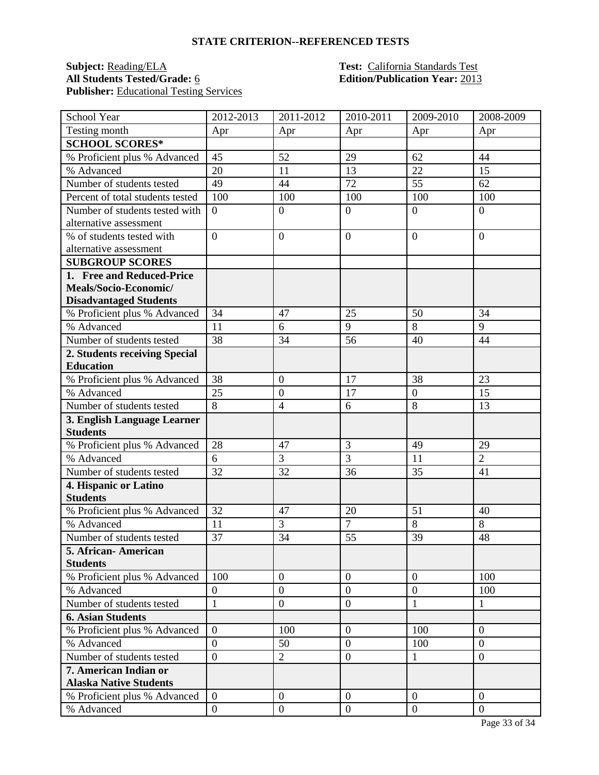## **Subject:** <u>Reading/ELA</u> **Test:** California Standards Test<br> **All Students Tested/Grade:** 6 **California Constantial Edition/Publication Year:** 2013 Publisher: **Educational Testing Services**

## **Edition/Publication Year: 2013**

| School Year                      | 2012-2013        | 2011-2012        | 2010-2011        | 2009-2010        | 2008-2009        |
|----------------------------------|------------------|------------------|------------------|------------------|------------------|
| Testing month                    | Apr              | Apr              | Apr              | Apr              | Apr              |
| <b>SCHOOL SCORES*</b>            |                  |                  |                  |                  |                  |
| % Proficient plus % Advanced     | 45               | 52               | 29               | 62               | 44               |
| % Advanced                       | 20               | 11               | 13               | 22               | 15               |
| Number of students tested        | 49               | 44               | 72               | 55               | 62               |
| Percent of total students tested | 100              | 100              | 100              | 100              | 100              |
| Number of students tested with   | $\boldsymbol{0}$ | $\boldsymbol{0}$ | $\mathbf{0}$     | $\overline{0}$   | $\overline{0}$   |
| alternative assessment           |                  |                  |                  |                  |                  |
| % of students tested with        | $\overline{0}$   | $\overline{0}$   | $\overline{0}$   | $\overline{0}$   | $\overline{0}$   |
| alternative assessment           |                  |                  |                  |                  |                  |
| <b>SUBGROUP SCORES</b>           |                  |                  |                  |                  |                  |
| 1. Free and Reduced-Price        |                  |                  |                  |                  |                  |
| Meals/Socio-Economic/            |                  |                  |                  |                  |                  |
| <b>Disadvantaged Students</b>    |                  |                  |                  |                  |                  |
| % Proficient plus % Advanced     | 34               | 47               | 25               | 50               | 34               |
| % Advanced                       | 11               | 6                | 9                | $\overline{8}$   | 9                |
| Number of students tested        | 38               | 34               | 56               | 40               | 44               |
| 2. Students receiving Special    |                  |                  |                  |                  |                  |
| <b>Education</b>                 |                  |                  |                  |                  |                  |
| % Proficient plus % Advanced     | 38               | $\boldsymbol{0}$ | 17               | 38               | 23               |
| % Advanced                       | 25               | $\overline{0}$   | 17               | $\overline{0}$   | 15               |
| Number of students tested        | 8                | $\overline{4}$   | 6                | 8                | 13               |
| 3. English Language Learner      |                  |                  |                  |                  |                  |
| <b>Students</b>                  |                  |                  |                  |                  |                  |
| % Proficient plus % Advanced     | 28               | 47               | 3                | 49               | 29               |
| % Advanced                       | 6                | 3                | 3                | 11               | $\overline{2}$   |
| Number of students tested        | 32               | 32               | 36               | 35               | 41               |
| 4. Hispanic or Latino            |                  |                  |                  |                  |                  |
| <b>Students</b>                  |                  |                  |                  |                  |                  |
| % Proficient plus % Advanced     | 32               | 47               | 20               | 51               | 40               |
| % Advanced                       | 11               | 3                | $\overline{7}$   | 8                | 8                |
| Number of students tested        | 37               | 34               | 55               | 39               | 48               |
| 5. African- American             |                  |                  |                  |                  |                  |
| <b>Students</b>                  |                  |                  |                  |                  |                  |
| % Proficient plus % Advanced     | 100              | $\boldsymbol{0}$ | $\mathbf{0}$     | $\overline{0}$   | 100              |
| % Advanced                       | $\boldsymbol{0}$ | $\overline{0}$   | $\overline{0}$   | $\overline{0}$   | 100              |
| Number of students tested        | $\mathbf{1}$     | $\boldsymbol{0}$ | $\mathbf{0}$     | 1                | 1                |
| <b>6. Asian Students</b>         |                  |                  |                  |                  |                  |
| % Proficient plus % Advanced     | $\boldsymbol{0}$ | 100              | $\boldsymbol{0}$ | 100              | $\Omega$         |
| % Advanced                       | $\overline{0}$   | 50               | $\overline{0}$   | 100              | $\overline{0}$   |
| Number of students tested        | $\overline{0}$   | $\overline{2}$   | $\boldsymbol{0}$ | $\mathbf{1}$     | $\boldsymbol{0}$ |
| 7. American Indian or            |                  |                  |                  |                  |                  |
| <b>Alaska Native Students</b>    |                  |                  |                  |                  |                  |
| % Proficient plus % Advanced     | $\overline{0}$   | $\boldsymbol{0}$ | $\mathbf{0}$     | $\overline{0}$   | $\overline{0}$   |
| % Advanced                       | $\boldsymbol{0}$ | $\boldsymbol{0}$ | $\mathbf{0}$     | $\boldsymbol{0}$ | $\overline{0}$   |